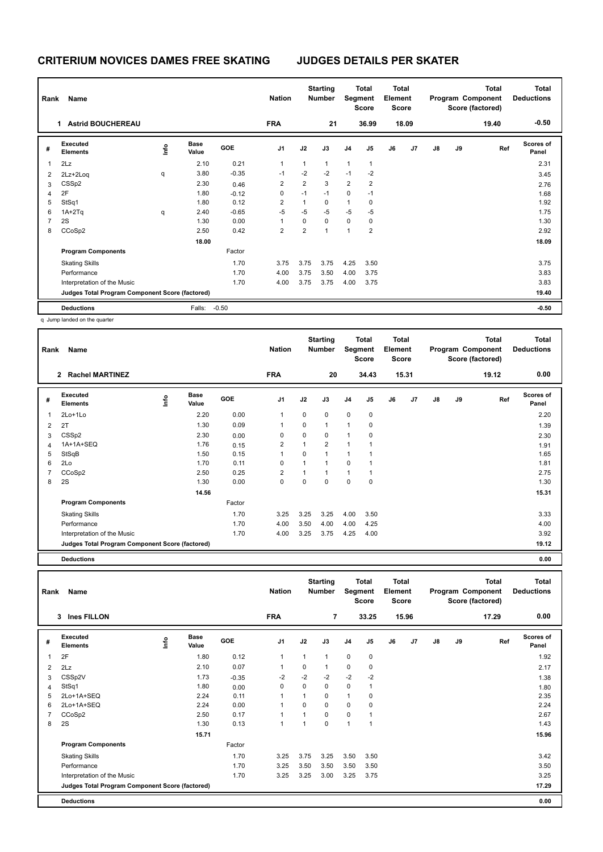| Rank           | Name<br><b>Astrid BOUCHEREAU</b><br>1           |    |                      |         | <b>Nation</b>  |                | <b>Starting</b><br><b>Number</b> | Segment        | Total<br>Score | <b>Total</b><br>Element<br><b>Score</b> |       |               |    | <b>Total</b><br>Program Component<br>Score (factored) | Total<br><b>Deductions</b> |
|----------------|-------------------------------------------------|----|----------------------|---------|----------------|----------------|----------------------------------|----------------|----------------|-----------------------------------------|-------|---------------|----|-------------------------------------------------------|----------------------------|
|                |                                                 |    |                      |         | <b>FRA</b>     |                | 21                               |                | 36.99          |                                         | 18.09 |               |    | 19.40                                                 | $-0.50$                    |
| #              | Executed<br><b>Elements</b>                     | ۴ů | <b>Base</b><br>Value | GOE     | J <sub>1</sub> | J2             | J3                               | J <sub>4</sub> | J <sub>5</sub> | J6                                      | J7    | $\mathsf{J}8$ | J9 | Ref                                                   | <b>Scores of</b><br>Panel  |
| 1              | 2Lz                                             |    | 2.10                 | 0.21    | 1              | 1              | $\mathbf{1}$                     | 1              | $\mathbf{1}$   |                                         |       |               |    |                                                       | 2.31                       |
| $\overline{2}$ | 2Lz+2Loq                                        | q  | 3.80                 | $-0.35$ | $-1$           | $-2$           | $-2$                             | $-1$           | $-2$           |                                         |       |               |    |                                                       | 3.45                       |
| 3              | CSSp2                                           |    | 2.30                 | 0.46    | 2              | $\overline{2}$ | 3                                | $\overline{2}$ | $\overline{2}$ |                                         |       |               |    |                                                       | 2.76                       |
| 4              | 2F                                              |    | 1.80                 | $-0.12$ | 0              | $-1$           | $-1$                             | 0              | $-1$           |                                         |       |               |    |                                                       | 1.68                       |
| 5              | StSq1                                           |    | 1.80                 | 0.12    | $\overline{2}$ | 1              | 0                                | 1              | 0              |                                         |       |               |    |                                                       | 1.92                       |
| 6              | $1A+2Tq$                                        | q  | 2.40                 | $-0.65$ | $-5$           | $-5$           | $-5$                             | $-5$           | $-5$           |                                         |       |               |    |                                                       | 1.75                       |
| $\overline{7}$ | 2S                                              |    | 1.30                 | 0.00    | $\overline{1}$ | 0              | $\mathbf 0$                      | $\mathbf 0$    | 0              |                                         |       |               |    |                                                       | 1.30                       |
| 8              | CCoSp2                                          |    | 2.50                 | 0.42    | 2              | $\overline{2}$ | 1                                | $\overline{1}$ | $\overline{2}$ |                                         |       |               |    |                                                       | 2.92                       |
|                |                                                 |    | 18.00                |         |                |                |                                  |                |                |                                         |       |               |    |                                                       | 18.09                      |
|                | <b>Program Components</b>                       |    |                      | Factor  |                |                |                                  |                |                |                                         |       |               |    |                                                       |                            |
|                | <b>Skating Skills</b>                           |    |                      | 1.70    | 3.75           | 3.75           | 3.75                             | 4.25           | 3.50           |                                         |       |               |    |                                                       | 3.75                       |
|                | Performance                                     |    |                      | 1.70    | 4.00           | 3.75           | 3.50                             | 4.00           | 3.75           |                                         |       |               |    |                                                       | 3.83                       |
|                | Interpretation of the Music                     |    |                      | 1.70    | 4.00           | 3.75           | 3.75                             | 4.00           | 3.75           |                                         |       |               |    |                                                       | 3.83                       |
|                | Judges Total Program Component Score (factored) |    |                      |         |                |                |                                  |                |                |                                         |       |               |    |                                                       | 19.40                      |
|                | <b>Deductions</b>                               |    | Falls:               | $-0.50$ |                |                |                                  |                |                |                                         |       |               |    |                                                       | $-0.50$                    |

q Jump landed on the quarter

| Rank           | Name<br><b>Rachel MARTINEZ</b><br>$\overline{2}$ |      |                      |            |                |              | <b>Starting</b><br><b>Number</b> | Segment        | <b>Total</b><br><b>Score</b> | <b>Total</b><br>Element<br><b>Score</b> |       |    |    | <b>Total</b><br>Program Component<br>Score (factored) | <b>Total</b><br><b>Deductions</b> |
|----------------|--------------------------------------------------|------|----------------------|------------|----------------|--------------|----------------------------------|----------------|------------------------------|-----------------------------------------|-------|----|----|-------------------------------------------------------|-----------------------------------|
|                |                                                  |      |                      |            | <b>FRA</b>     |              | 20                               |                | 34.43                        |                                         | 15.31 |    |    | 19.12                                                 | 0.00                              |
| #              | Executed<br><b>Elements</b>                      | lnfo | <b>Base</b><br>Value | <b>GOE</b> | J <sub>1</sub> | J2           | J3                               | J <sub>4</sub> | J5                           | J6                                      | J7    | J8 | J9 | Ref                                                   | <b>Scores of</b><br>Panel         |
| 1              | $2Lo+1Lo$                                        |      | 2.20                 | 0.00       | 1              | 0            | 0                                | $\mathbf 0$    | 0                            |                                         |       |    |    |                                                       | 2.20                              |
| $\overline{2}$ | 2T                                               |      | 1.30                 | 0.09       | 1              | 0            | $\overline{1}$                   | $\overline{1}$ | $\mathbf 0$                  |                                         |       |    |    |                                                       | 1.39                              |
| 3              | CSSp2                                            |      | 2.30                 | 0.00       | 0              | 0            | 0                                | $\overline{1}$ | $\mathbf 0$                  |                                         |       |    |    |                                                       | 2.30                              |
| 4              | $1A+1A+SEO$                                      |      | 1.76                 | 0.15       | $\overline{2}$ | $\mathbf{1}$ | $\overline{2}$                   | $\overline{1}$ |                              |                                         |       |    |    |                                                       | 1.91                              |
| 5              | StSqB                                            |      | 1.50                 | 0.15       | 1              | 0            |                                  | $\overline{1}$ |                              |                                         |       |    |    |                                                       | 1.65                              |
| 6              | 2Lo                                              |      | 1.70                 | 0.11       | 0              | 1            |                                  | 0              |                              |                                         |       |    |    |                                                       | 1.81                              |
| 7              | CCoSp2                                           |      | 2.50                 | 0.25       | $\overline{2}$ | 1            |                                  | $\overline{1}$ |                              |                                         |       |    |    |                                                       | 2.75                              |
| 8              | 2S                                               |      | 1.30                 | 0.00       | $\mathbf 0$    | $\Omega$     | 0                                | $\mathbf 0$    | $\mathbf 0$                  |                                         |       |    |    |                                                       | 1.30                              |
|                |                                                  |      | 14.56                |            |                |              |                                  |                |                              |                                         |       |    |    |                                                       | 15.31                             |
|                | <b>Program Components</b>                        |      |                      | Factor     |                |              |                                  |                |                              |                                         |       |    |    |                                                       |                                   |
|                | <b>Skating Skills</b>                            |      |                      | 1.70       | 3.25           | 3.25         | 3.25                             | 4.00           | 3.50                         |                                         |       |    |    |                                                       | 3.33                              |
|                | Performance                                      |      |                      | 1.70       | 4.00           | 3.50         | 4.00                             | 4.00           | 4.25                         |                                         |       |    |    |                                                       | 4.00                              |
|                | Interpretation of the Music                      |      |                      | 1.70       | 4.00           | 3.25         | 3.75                             | 4.25           | 4.00                         |                                         |       |    |    |                                                       | 3.92                              |
|                | Judges Total Program Component Score (factored)  |      |                      |            |                |              |                                  |                |                              |                                         |       |    |    |                                                       | 19.12                             |
|                |                                                  |      |                      |            |                |              |                                  |                |                              |                                         |       |    |    |                                                       |                                   |

**Deductions 0.00**

**Total Deductions Total Program Component Score (factored) Total Element Segment Score Total Score Starting Rank Name Nation Number # Executed Elements Base Value GOE J1 J2 J3 J4 J5 J6 J7 J8 J9 Scores of Panel** 1 1.80 0.12 1 1 1 0 0 **Ref**  سمان بال بن المسابق المسلمية المسابق المسلمية المسلمية المسلمية المسلمية المسلمية المسلمية المسلمية المسلمية ا<br>2F 1.80 0.12 1 1 1 0 0<br>2F 1.92 1.92 1.92 1.92 1.92  **3 Ines FILLON FRA 7 33.25 15.96 17.29 0.00** 2 2Lz 2.10 0.07 1 0 1 0 0 2.17 3 CSSp2V 1.73 -0.35 -2 -2 -2 -2 -2 1.38 4 StSq1 1.80 0.00 0 0 0 0 1 1.80 5 2Lo+1A+SEQ 2.24 0.11 1 1 0 1 0 2.35 6 2Lo+1A+SEQ 2.24 0.00 1 0 0 0 0 2.24 7 CCoSp2 2.50 0.17 1 1 0 0 1 2.67 8 2S 1.30 0.13 1 1 0 1 1 1.43  **15.71 15.96 Program Components**  Skating Skills 3.25 3.75 3.25 3.50 3.50 Factor 1.70 3.25 3.75 3.25 3.50 3.50 Performance 1.70 3.25 3.50 3.50 3.50 3.50 3.50 Interpretation of the Music 1.70 3.25 3.25 3.00 3.25 3.75 3.25 **Deductions 0.00 Judges Total Program Component Score (factored) 17.29**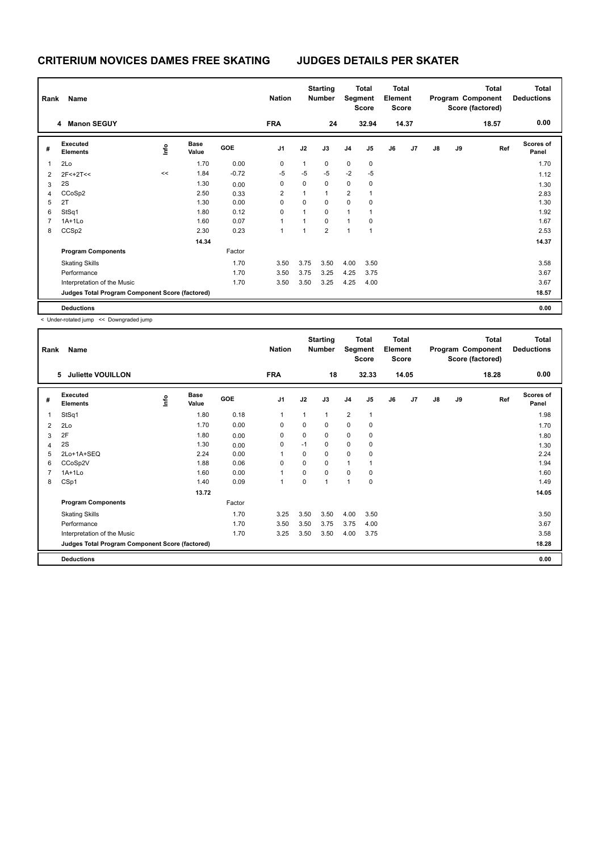| Rank           | Name                                            | <b>Nation</b> |                      | <b>Starting</b><br><b>Number</b> |                | <b>Total</b><br>Segment<br><b>Score</b> | <b>Total</b><br>Element<br><b>Score</b> |                |                |    | <b>Total</b><br>Program Component<br>Score (factored) | <b>Total</b><br><b>Deductions</b> |    |       |                    |
|----------------|-------------------------------------------------|---------------|----------------------|----------------------------------|----------------|-----------------------------------------|-----------------------------------------|----------------|----------------|----|-------------------------------------------------------|-----------------------------------|----|-------|--------------------|
|                | <b>Manon SEGUY</b><br>4                         |               |                      |                                  | <b>FRA</b>     |                                         | 24                                      |                | 32.94          |    | 14.37                                                 |                                   |    | 18.57 | 0.00               |
| #              | Executed<br><b>Elements</b>                     | ١nfo          | <b>Base</b><br>Value | <b>GOE</b>                       | J <sub>1</sub> | J2                                      | J3                                      | J <sub>4</sub> | J <sub>5</sub> | J6 | J7                                                    | $\mathsf{J}8$                     | J9 | Ref   | Scores of<br>Panel |
| 1              | 2Lo                                             |               | 1.70                 | 0.00                             | 0              | 1                                       | $\mathbf 0$                             | $\mathbf 0$    | 0              |    |                                                       |                                   |    |       | 1.70               |
| $\overline{2}$ | $2F<+2T<<$                                      | <<            | 1.84                 | $-0.72$                          | -5             | $-5$                                    | $-5$                                    | $-2$           | $-5$           |    |                                                       |                                   |    |       | 1.12               |
| 3              | 2S                                              |               | 1.30                 | 0.00                             | 0              | $\Omega$                                | $\mathbf 0$                             | $\mathbf 0$    | $\mathbf 0$    |    |                                                       |                                   |    |       | 1.30               |
| 4              | CCoSp2                                          |               | 2.50                 | 0.33                             | 2              | 1                                       | $\mathbf{1}$                            | 2              | -1             |    |                                                       |                                   |    |       | 2.83               |
| 5              | 2T                                              |               | 1.30                 | 0.00                             | 0              | 0                                       | 0                                       | $\mathbf 0$    | 0              |    |                                                       |                                   |    |       | 1.30               |
| 6              | StSq1                                           |               | 1.80                 | 0.12                             | 0              | 1                                       | $\mathbf 0$                             | 1              | 1              |    |                                                       |                                   |    |       | 1.92               |
| $\overline{7}$ | $1A+1L0$                                        |               | 1.60                 | 0.07                             | 1              | 1                                       | $\Omega$                                | $\mathbf{1}$   | $\mathbf 0$    |    |                                                       |                                   |    |       | 1.67               |
| 8              | CCS <sub>p2</sub>                               |               | 2.30                 | 0.23                             | 1              | $\overline{\phantom{a}}$                | $\overline{2}$                          | 1              | $\overline{1}$ |    |                                                       |                                   |    |       | 2.53               |
|                |                                                 |               | 14.34                |                                  |                |                                         |                                         |                |                |    |                                                       |                                   |    |       | 14.37              |
|                | <b>Program Components</b>                       |               |                      | Factor                           |                |                                         |                                         |                |                |    |                                                       |                                   |    |       |                    |
|                | <b>Skating Skills</b>                           |               |                      | 1.70                             | 3.50           | 3.75                                    | 3.50                                    | 4.00           | 3.50           |    |                                                       |                                   |    |       | 3.58               |
|                | Performance                                     |               |                      | 1.70                             | 3.50           | 3.75                                    | 3.25                                    | 4.25           | 3.75           |    |                                                       |                                   |    |       | 3.67               |
|                | Interpretation of the Music                     |               |                      | 1.70                             | 3.50           | 3.50                                    | 3.25                                    | 4.25           | 4.00           |    |                                                       |                                   |    |       | 3.67               |
|                | Judges Total Program Component Score (factored) |               |                      |                                  |                |                                         |                                         |                |                |    |                                                       |                                   |    |       | 18.57              |
|                | <b>Deductions</b>                               |               |                      |                                  |                |                                         |                                         |                |                |    |                                                       |                                   |    |       | 0.00               |

< Under-rotated jump << Downgraded jump

| Rank | Name                                            |      | <b>Nation</b>        |        | <b>Starting</b><br><b>Number</b> | Segment | <b>Total</b><br><b>Score</b> | <b>Total</b><br>Element<br><b>Score</b> |              |    |                | <b>Total</b><br>Program Component<br>Score (factored) | Total<br><b>Deductions</b> |       |                           |
|------|-------------------------------------------------|------|----------------------|--------|----------------------------------|---------|------------------------------|-----------------------------------------|--------------|----|----------------|-------------------------------------------------------|----------------------------|-------|---------------------------|
|      | <b>Juliette VOUILLON</b><br>5                   |      |                      |        | <b>FRA</b>                       |         | 18                           |                                         | 32.33        |    | 14.05          |                                                       |                            | 18.28 | 0.00                      |
| #    | <b>Executed</b><br><b>Elements</b>              | ١nf٥ | <b>Base</b><br>Value | GOE    | J <sub>1</sub>                   | J2      | J3                           | J4                                      | J5           | J6 | J <sub>7</sub> | $\mathsf{J}8$                                         | J9                         | Ref   | <b>Scores of</b><br>Panel |
| 1    | StSq1                                           |      | 1.80                 | 0.18   | $\mathbf{1}$                     | 1       | $\mathbf{1}$                 | 2                                       | $\mathbf{1}$ |    |                |                                                       |                            |       | 1.98                      |
| 2    | 2Lo                                             |      | 1.70                 | 0.00   | 0                                | 0       | 0                            | $\mathbf 0$                             | 0            |    |                |                                                       |                            |       | 1.70                      |
| 3    | 2F                                              |      | 1.80                 | 0.00   | 0                                | 0       | 0                            | $\mathbf 0$                             | $\mathbf 0$  |    |                |                                                       |                            |       | 1.80                      |
| 4    | 2S                                              |      | 1.30                 | 0.00   | 0                                | $-1$    | 0                            | 0                                       | 0            |    |                |                                                       |                            |       | 1.30                      |
| 5    | 2Lo+1A+SEQ                                      |      | 2.24                 | 0.00   | 1                                | 0       | 0                            | $\mathbf 0$                             | $\mathbf 0$  |    |                |                                                       |                            |       | 2.24                      |
| 6    | CCoSp2V                                         |      | 1.88                 | 0.06   | 0                                | 0       | 0                            | 1                                       |              |    |                |                                                       |                            |       | 1.94                      |
| 7    | $1A+1Lo$                                        |      | 1.60                 | 0.00   | $\mathbf{1}$                     | 0       | 0                            | $\mathbf 0$                             | 0            |    |                |                                                       |                            |       | 1.60                      |
| 8    | CSp1                                            |      | 1.40                 | 0.09   | $\mathbf{1}$                     | 0       | 1                            | $\mathbf{1}$                            | 0            |    |                |                                                       |                            |       | 1.49                      |
|      |                                                 |      | 13.72                |        |                                  |         |                              |                                         |              |    |                |                                                       |                            |       | 14.05                     |
|      | <b>Program Components</b>                       |      |                      | Factor |                                  |         |                              |                                         |              |    |                |                                                       |                            |       |                           |
|      | <b>Skating Skills</b>                           |      |                      | 1.70   | 3.25                             | 3.50    | 3.50                         | 4.00                                    | 3.50         |    |                |                                                       |                            |       | 3.50                      |
|      | Performance                                     |      |                      | 1.70   | 3.50                             | 3.50    | 3.75                         | 3.75                                    | 4.00         |    |                |                                                       |                            |       | 3.67                      |
|      | Interpretation of the Music                     |      |                      | 1.70   | 3.25                             | 3.50    | 3.50                         | 4.00                                    | 3.75         |    |                |                                                       |                            |       | 3.58                      |
|      | Judges Total Program Component Score (factored) |      |                      |        |                                  |         |                              |                                         |              |    |                |                                                       |                            |       | 18.28                     |
|      | <b>Deductions</b>                               |      |                      |        |                                  |         |                              |                                         |              |    |                |                                                       |                            |       | 0.00                      |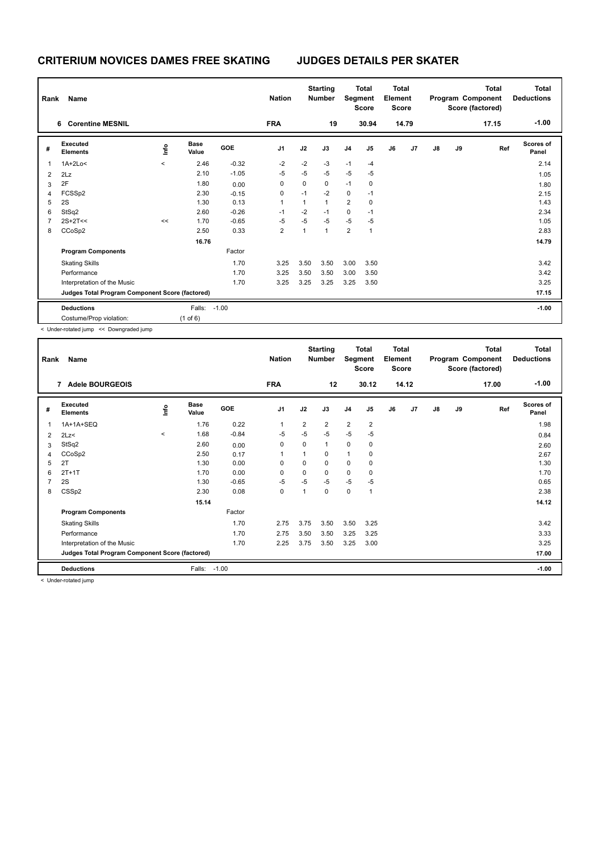| Rank | Name                                            |         | <b>Nation</b>        |            | <b>Starting</b><br><b>Number</b> |              | <b>Total</b><br>Segment<br><b>Score</b> | Total<br><b>Element</b><br><b>Score</b> |                |    |       | <b>Total</b><br>Program Component<br>Score (factored) | <b>Total</b><br><b>Deductions</b> |       |                           |
|------|-------------------------------------------------|---------|----------------------|------------|----------------------------------|--------------|-----------------------------------------|-----------------------------------------|----------------|----|-------|-------------------------------------------------------|-----------------------------------|-------|---------------------------|
|      | <b>Corentine MESNIL</b><br>6                    |         |                      |            | <b>FRA</b>                       |              | 19                                      |                                         | 30.94          |    | 14.79 |                                                       |                                   | 17.15 | $-1.00$                   |
| #    | Executed<br><b>Elements</b>                     | ١nfo    | <b>Base</b><br>Value | <b>GOE</b> | J <sub>1</sub>                   | J2           | J3                                      | J <sub>4</sub>                          | J <sub>5</sub> | J6 | J7    | J8                                                    | J9                                | Ref   | <b>Scores of</b><br>Panel |
| 1    | $1A+2Lo<$                                       | $\prec$ | 2.46                 | $-0.32$    | $-2$                             | $-2$         | $-3$                                    | $-1$                                    | $-4$           |    |       |                                                       |                                   |       | 2.14                      |
| 2    | 2Lz                                             |         | 2.10                 | $-1.05$    | $-5$                             | $-5$         | $-5$                                    | $-5$                                    | $-5$           |    |       |                                                       |                                   |       | 1.05                      |
| 3    | 2F                                              |         | 1.80                 | 0.00       | 0                                | 0            | $\mathbf 0$                             | $-1$                                    | 0              |    |       |                                                       |                                   |       | 1.80                      |
| 4    | FCSSp2                                          |         | 2.30                 | $-0.15$    | 0                                | $-1$         | $-2$                                    | $\mathbf 0$                             | $-1$           |    |       |                                                       |                                   |       | 2.15                      |
| 5    | 2S                                              |         | 1.30                 | 0.13       | 1                                | $\mathbf{1}$ | $\overline{1}$                          | $\overline{2}$                          | 0              |    |       |                                                       |                                   |       | 1.43                      |
| 6    | StSq2                                           |         | 2.60                 | $-0.26$    | $-1$                             | $-2$         | $-1$                                    | $\mathbf 0$                             | $-1$           |    |       |                                                       |                                   |       | 2.34                      |
|      | $2S+2T<<$                                       | <<      | 1.70                 | $-0.65$    | $-5$                             | $-5$         | $-5$                                    | $-5$                                    | $-5$           |    |       |                                                       |                                   |       | 1.05                      |
| 8    | CCoSp2                                          |         | 2.50                 | 0.33       | $\overline{2}$                   | 1            | $\overline{1}$                          | $\overline{2}$                          | 1              |    |       |                                                       |                                   |       | 2.83                      |
|      |                                                 |         | 16.76                |            |                                  |              |                                         |                                         |                |    |       |                                                       |                                   |       | 14.79                     |
|      | <b>Program Components</b>                       |         |                      | Factor     |                                  |              |                                         |                                         |                |    |       |                                                       |                                   |       |                           |
|      | <b>Skating Skills</b>                           |         |                      | 1.70       | 3.25                             | 3.50         | 3.50                                    | 3.00                                    | 3.50           |    |       |                                                       |                                   |       | 3.42                      |
|      | Performance                                     |         |                      | 1.70       | 3.25                             | 3.50         | 3.50                                    | 3.00                                    | 3.50           |    |       |                                                       |                                   |       | 3.42                      |
|      | Interpretation of the Music                     |         |                      | 1.70       | 3.25                             | 3.25         | 3.25                                    | 3.25                                    | 3.50           |    |       |                                                       |                                   |       | 3.25                      |
|      | Judges Total Program Component Score (factored) |         |                      |            |                                  |              |                                         |                                         |                |    |       |                                                       |                                   |       | 17.15                     |
|      | <b>Deductions</b>                               |         | Falls:               | $-1.00$    |                                  |              |                                         |                                         |                |    |       |                                                       |                                   |       | $-1.00$                   |
|      | Costume/Prop violation:                         |         | $(1$ of 6)           |            |                                  |              |                                         |                                         |                |    |       |                                                       |                                   |       |                           |

< Under-rotated jump << Downgraded jump

ı

| Rank | Name                                            |               |                      |            | <b>Nation</b>  |                | <b>Starting</b><br><b>Number</b> | Segment        | <b>Total</b><br><b>Score</b> | <b>Total</b><br>Element<br><b>Score</b> |       |               |    | <b>Total</b><br>Program Component<br>Score (factored) | <b>Total</b><br><b>Deductions</b> |
|------|-------------------------------------------------|---------------|----------------------|------------|----------------|----------------|----------------------------------|----------------|------------------------------|-----------------------------------------|-------|---------------|----|-------------------------------------------------------|-----------------------------------|
|      | <b>Adele BOURGEOIS</b><br>7                     |               |                      |            | <b>FRA</b>     |                | 12                               |                | 30.12                        |                                         | 14.12 |               |    | 17.00                                                 | $-1.00$                           |
| #    | Executed<br><b>Elements</b>                     | $\frac{6}{2}$ | <b>Base</b><br>Value | <b>GOE</b> | J <sub>1</sub> | J2             | J3                               | J <sub>4</sub> | J <sub>5</sub>               | J6                                      | J7    | $\mathsf{J}8$ | J9 | Ref                                                   | <b>Scores of</b><br>Panel         |
| 1    | 1A+1A+SEQ                                       |               | 1.76                 | 0.22       | 1              | $\overline{2}$ | $\overline{2}$                   | $\overline{2}$ | $\overline{2}$               |                                         |       |               |    |                                                       | 1.98                              |
| 2    | 2Lz<                                            | $\prec$       | 1.68                 | $-0.84$    | $-5$           | $-5$           | $-5$                             | $-5$           | $-5$                         |                                         |       |               |    |                                                       | 0.84                              |
| 3    | StSq2                                           |               | 2.60                 | 0.00       | 0              | 0              | $\mathbf{1}$                     | $\mathbf 0$    | 0                            |                                         |       |               |    |                                                       | 2.60                              |
| 4    | CCoSp2                                          |               | 2.50                 | 0.17       | -1             | 1              | 0                                | 1              | 0                            |                                         |       |               |    |                                                       | 2.67                              |
| 5    | 2T                                              |               | 1.30                 | 0.00       | 0              | 0              | 0                                | $\mathbf 0$    | 0                            |                                         |       |               |    |                                                       | 1.30                              |
| 6    | $2T+1T$                                         |               | 1.70                 | 0.00       | 0              | $\Omega$       | $\Omega$                         | $\mathbf 0$    | 0                            |                                         |       |               |    |                                                       | 1.70                              |
| 7    | 2S                                              |               | 1.30                 | $-0.65$    | $-5$           | $-5$           | $-5$                             | $-5$           | -5                           |                                         |       |               |    |                                                       | 0.65                              |
| 8    | CSS <sub>p2</sub>                               |               | 2.30                 | 0.08       | 0              | 1              | 0                                | $\mathbf 0$    | $\mathbf{1}$                 |                                         |       |               |    |                                                       | 2.38                              |
|      |                                                 |               | 15.14                |            |                |                |                                  |                |                              |                                         |       |               |    |                                                       | 14.12                             |
|      | <b>Program Components</b>                       |               |                      | Factor     |                |                |                                  |                |                              |                                         |       |               |    |                                                       |                                   |
|      | <b>Skating Skills</b>                           |               |                      | 1.70       | 2.75           | 3.75           | 3.50                             | 3.50           | 3.25                         |                                         |       |               |    |                                                       | 3.42                              |
|      | Performance                                     |               |                      | 1.70       | 2.75           | 3.50           | 3.50                             | 3.25           | 3.25                         |                                         |       |               |    |                                                       | 3.33                              |
|      | Interpretation of the Music                     |               |                      | 1.70       | 2.25           | 3.75           | 3.50                             | 3.25           | 3.00                         |                                         |       |               |    |                                                       | 3.25                              |
|      | Judges Total Program Component Score (factored) |               |                      |            |                |                |                                  |                |                              |                                         |       |               |    |                                                       | 17.00                             |
|      | <b>Deductions</b>                               |               | Falls:               | $-1.00$    |                |                |                                  |                |                              |                                         |       |               |    |                                                       | $-1.00$                           |

< Under-rotated jump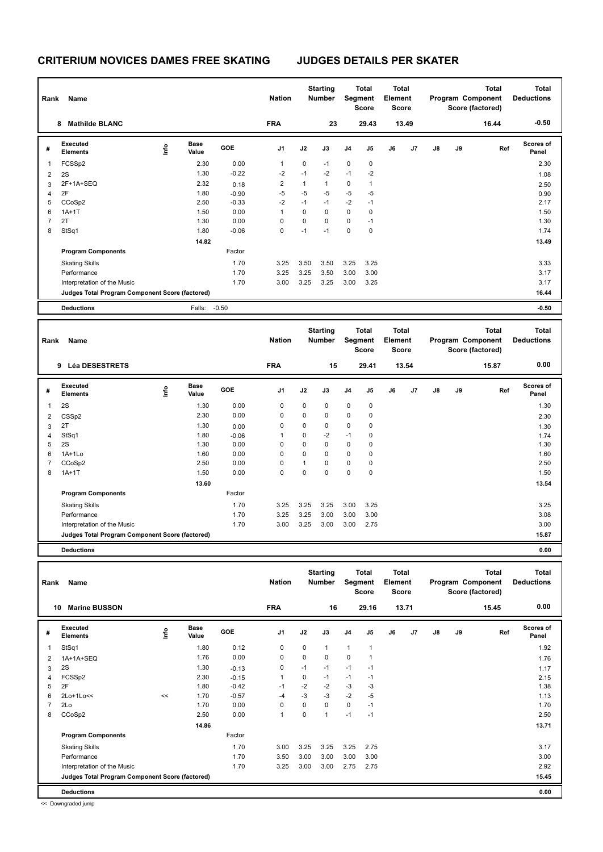$\mathbf{r}$ 

| Rank | Name                                            | <b>Nation</b> |                      | <b>Starting</b><br><b>Number</b> |                | <b>Total</b><br>Segment<br><b>Score</b> | Total<br>Element<br><b>Score</b> |                |                |    | <b>Total</b><br>Program Component<br>Score (factored) | <b>Total</b><br><b>Deductions</b> |    |       |                           |
|------|-------------------------------------------------|---------------|----------------------|----------------------------------|----------------|-----------------------------------------|----------------------------------|----------------|----------------|----|-------------------------------------------------------|-----------------------------------|----|-------|---------------------------|
|      | <b>Mathilde BLANC</b><br>8                      |               |                      |                                  | <b>FRA</b>     |                                         | 23                               |                | 29.43          |    | 13.49                                                 |                                   |    | 16.44 | $-0.50$                   |
| #    | <b>Executed</b><br><b>Elements</b>              | ١nfo          | <b>Base</b><br>Value | <b>GOE</b>                       | J <sub>1</sub> | J2                                      | J3                               | J <sub>4</sub> | J <sub>5</sub> | J6 | J7                                                    | J8                                | J9 | Ref   | <b>Scores of</b><br>Panel |
| 1    | FCSSp2                                          |               | 2.30                 | 0.00                             |                | $\mathbf 0$                             | $-1$                             | $\mathbf 0$    | 0              |    |                                                       |                                   |    |       | 2.30                      |
| 2    | 2S                                              |               | 1.30                 | $-0.22$                          | $-2$           | $-1$                                    | $-2$                             | $-1$           | $-2$           |    |                                                       |                                   |    |       | 1.08                      |
| 3    | 2F+1A+SEQ                                       |               | 2.32                 | 0.18                             | 2              | 1                                       | $\mathbf{1}$                     | 0              | 1              |    |                                                       |                                   |    |       | 2.50                      |
| 4    | 2F                                              |               | 1.80                 | $-0.90$                          | -5             | $-5$                                    | $-5$                             | $-5$           | -5             |    |                                                       |                                   |    |       | 0.90                      |
| 5    | CCoSp2                                          |               | 2.50                 | $-0.33$                          | $-2$           | $-1$                                    | $-1$                             | $-2$           | $-1$           |    |                                                       |                                   |    |       | 2.17                      |
| 6    | $1A+1T$                                         |               | 1.50                 | 0.00                             |                | $\Omega$                                | $\Omega$                         | $\mathbf 0$    | $\mathbf 0$    |    |                                                       |                                   |    |       | 1.50                      |
| 7    | 2T                                              |               | 1.30                 | 0.00                             | 0              | 0                                       | $\Omega$                         | $\mathbf 0$    | $-1$           |    |                                                       |                                   |    |       | 1.30                      |
| 8    | StSq1                                           |               | 1.80                 | $-0.06$                          | 0              | $-1$                                    | $-1$                             | $\mathbf 0$    | 0              |    |                                                       |                                   |    |       | 1.74                      |
|      |                                                 |               | 14.82                |                                  |                |                                         |                                  |                |                |    |                                                       |                                   |    |       | 13.49                     |
|      | <b>Program Components</b>                       |               |                      | Factor                           |                |                                         |                                  |                |                |    |                                                       |                                   |    |       |                           |
|      | <b>Skating Skills</b>                           |               |                      | 1.70                             | 3.25           | 3.50                                    | 3.50                             | 3.25           | 3.25           |    |                                                       |                                   |    |       | 3.33                      |
|      | Performance                                     |               |                      | 1.70                             | 3.25           | 3.25                                    | 3.50                             | 3.00           | 3.00           |    |                                                       |                                   |    |       | 3.17                      |
|      | Interpretation of the Music                     |               |                      | 1.70                             | 3.00           | 3.25                                    | 3.25                             | 3.00           | 3.25           |    |                                                       |                                   |    |       | 3.17                      |
|      | Judges Total Program Component Score (factored) |               |                      |                                  |                |                                         |                                  |                |                |    |                                                       |                                   |    |       | 16.44                     |
|      | <b>Deductions</b>                               |               | Falls:               | $-0.50$                          |                |                                         |                                  |                |                |    |                                                       |                                   |    |       | $-0.50$                   |
|      |                                                 |               |                      |                                  |                |                                         |                                  |                |                |    |                                                       |                                   |    |       |                           |

| Rank | Name                                            |      |                      |            | <b>Nation</b> |             | <b>Starting</b><br><b>Number</b> |                | Total<br>Segment<br><b>Score</b> | <b>Total</b><br>Element<br>Score |       |               |    | <b>Total</b><br>Program Component<br>Score (factored) | <b>Total</b><br><b>Deductions</b> |
|------|-------------------------------------------------|------|----------------------|------------|---------------|-------------|----------------------------------|----------------|----------------------------------|----------------------------------|-------|---------------|----|-------------------------------------------------------|-----------------------------------|
|      | <b>Léa DESESTRETS</b><br>9                      |      |                      |            | <b>FRA</b>    |             | 15                               |                | 29.41                            |                                  | 13.54 |               |    | 15.87                                                 | 0.00                              |
| #    | Executed<br><b>Elements</b>                     | ١nfo | <b>Base</b><br>Value | <b>GOE</b> | J1            | J2          | J3                               | J <sub>4</sub> | J <sub>5</sub>                   | J6                               | J7    | $\mathsf{J}8$ | J9 | Ref                                                   | <b>Scores of</b><br>Panel         |
| 1    | 2S                                              |      | 1.30                 | 0.00       | 0             | $\mathbf 0$ | $\mathbf 0$                      | $\mathbf 0$    | $\mathbf 0$                      |                                  |       |               |    |                                                       | 1.30                              |
| 2    | CSS <sub>p2</sub>                               |      | 2.30                 | 0.00       | 0             | 0           | $\mathbf 0$                      | 0              | 0                                |                                  |       |               |    |                                                       | 2.30                              |
| 3    | 2T                                              |      | 1.30                 | 0.00       | $\Omega$      | $\mathbf 0$ | $\mathbf 0$                      | $\mathbf 0$    | 0                                |                                  |       |               |    |                                                       | 1.30                              |
| 4    | StSq1                                           |      | 1.80                 | $-0.06$    |               | $\mathbf 0$ | $-2$                             | $-1$           | 0                                |                                  |       |               |    |                                                       | 1.74                              |
| 5    | 2S                                              |      | 1.30                 | 0.00       | $\Omega$      | $\mathbf 0$ | $\Omega$                         | $\mathbf 0$    | 0                                |                                  |       |               |    |                                                       | 1.30                              |
| 6    | $1A+1L0$                                        |      | 1.60                 | 0.00       | $\Omega$      | $\Omega$    | $\Omega$                         | $\mathbf 0$    | 0                                |                                  |       |               |    |                                                       | 1.60                              |
| 7    | CCoSp2                                          |      | 2.50                 | 0.00       | $\Omega$      | 1           | $\Omega$                         | $\mathbf 0$    | 0                                |                                  |       |               |    |                                                       | 2.50                              |
| 8    | $1A+1T$                                         |      | 1.50                 | 0.00       | 0             | 0           | 0                                | $\pmb{0}$      | 0                                |                                  |       |               |    |                                                       | 1.50                              |
|      |                                                 |      | 13.60                |            |               |             |                                  |                |                                  |                                  |       |               |    |                                                       | 13.54                             |
|      | <b>Program Components</b>                       |      |                      | Factor     |               |             |                                  |                |                                  |                                  |       |               |    |                                                       |                                   |
|      | <b>Skating Skills</b>                           |      |                      | 1.70       | 3.25          | 3.25        | 3.25                             | 3.00           | 3.25                             |                                  |       |               |    |                                                       | 3.25                              |
|      | Performance                                     |      |                      | 1.70       | 3.25          | 3.25        | 3.00                             | 3.00           | 3.00                             |                                  |       |               |    |                                                       | 3.08                              |
|      | Interpretation of the Music                     |      |                      | 1.70       | 3.00          | 3.25        | 3.00                             | 3.00           | 2.75                             |                                  |       |               |    |                                                       | 3.00                              |
|      | Judges Total Program Component Score (factored) |      |                      |            |               |             |                                  |                |                                  |                                  |       |               |    |                                                       | 15.87                             |
|      | <b>Deductions</b>                               |      |                      |            |               |             |                                  |                |                                  |                                  |       |               |    |                                                       | 0.00                              |

| Rank | Name                                            |      | <b>Nation</b>        |         | <b>Starting</b><br><b>Number</b> |             | Total<br>Segment<br><b>Score</b> | <b>Total</b><br>Element<br><b>Score</b> |                |    |       | <b>Total</b><br>Program Component<br>Score (factored) | <b>Total</b><br><b>Deductions</b> |       |                    |
|------|-------------------------------------------------|------|----------------------|---------|----------------------------------|-------------|----------------------------------|-----------------------------------------|----------------|----|-------|-------------------------------------------------------|-----------------------------------|-------|--------------------|
| 10   | <b>Marine BUSSON</b>                            |      |                      |         | <b>FRA</b>                       |             | 16                               |                                         | 29.16          |    | 13.71 |                                                       |                                   | 15.45 | 0.00               |
| #    | <b>Executed</b><br><b>Elements</b>              | lnfo | <b>Base</b><br>Value | GOE     | J <sub>1</sub>                   | J2          | J3                               | J4                                      | J5             | J6 | J7    | $\mathsf{J}8$                                         | J9                                | Ref   | Scores of<br>Panel |
| 1    | StSq1                                           |      | 1.80                 | 0.12    | 0                                | 0           | $\mathbf{1}$                     | $\mathbf{1}$                            | $\mathbf{1}$   |    |       |                                                       |                                   |       | 1.92               |
| 2    | 1A+1A+SEQ                                       |      | 1.76                 | 0.00    | 0                                | $\mathbf 0$ | $\mathbf 0$                      | $\mathbf 0$                             | $\overline{1}$ |    |       |                                                       |                                   |       | 1.76               |
| 3    | 2S                                              |      | 1.30                 | $-0.13$ | 0                                | $-1$        | $-1$                             | $-1$                                    | $-1$           |    |       |                                                       |                                   |       | 1.17               |
| 4    | FCSSp2                                          |      | 2.30                 | $-0.15$ | 1                                | 0           | $-1$                             | $-1$                                    | $-1$           |    |       |                                                       |                                   |       | 2.15               |
| 5    | 2F                                              |      | 1.80                 | $-0.42$ | $-1$                             | $-2$        | $-2$                             | $-3$                                    | $-3$           |    |       |                                                       |                                   |       | 1.38               |
| 6    | 2Lo+1Lo<<                                       | <<   | 1.70                 | $-0.57$ | $-4$                             | $-3$        | $-3$                             | $-2$                                    | -5             |    |       |                                                       |                                   |       | 1.13               |
|      | 2Lo                                             |      | 1.70                 | 0.00    | 0                                | 0           | $\mathbf 0$                      | $\mathbf 0$                             | $-1$           |    |       |                                                       |                                   |       | 1.70               |
| 8    | CCoSp2                                          |      | 2.50                 | 0.00    | 1                                | $\Omega$    | 1                                | $-1$                                    | $-1$           |    |       |                                                       |                                   |       | 2.50               |
|      |                                                 |      | 14.86                |         |                                  |             |                                  |                                         |                |    |       |                                                       |                                   |       | 13.71              |
|      | <b>Program Components</b>                       |      |                      | Factor  |                                  |             |                                  |                                         |                |    |       |                                                       |                                   |       |                    |
|      | <b>Skating Skills</b>                           |      |                      | 1.70    | 3.00                             | 3.25        | 3.25                             | 3.25                                    | 2.75           |    |       |                                                       |                                   |       | 3.17               |
|      | Performance                                     |      |                      | 1.70    | 3.50                             | 3.00        | 3.00                             | 3.00                                    | 3.00           |    |       |                                                       |                                   |       | 3.00               |
|      | Interpretation of the Music                     |      |                      | 1.70    | 3.25                             | 3.00        | 3.00                             | 2.75                                    | 2.75           |    |       |                                                       |                                   |       | 2.92               |
|      | Judges Total Program Component Score (factored) |      |                      |         |                                  |             |                                  |                                         |                |    |       |                                                       |                                   |       | 15.45              |
|      | <b>Deductions</b>                               |      |                      |         |                                  |             |                                  |                                         |                |    |       |                                                       |                                   |       | 0.00               |

<< Downgraded jump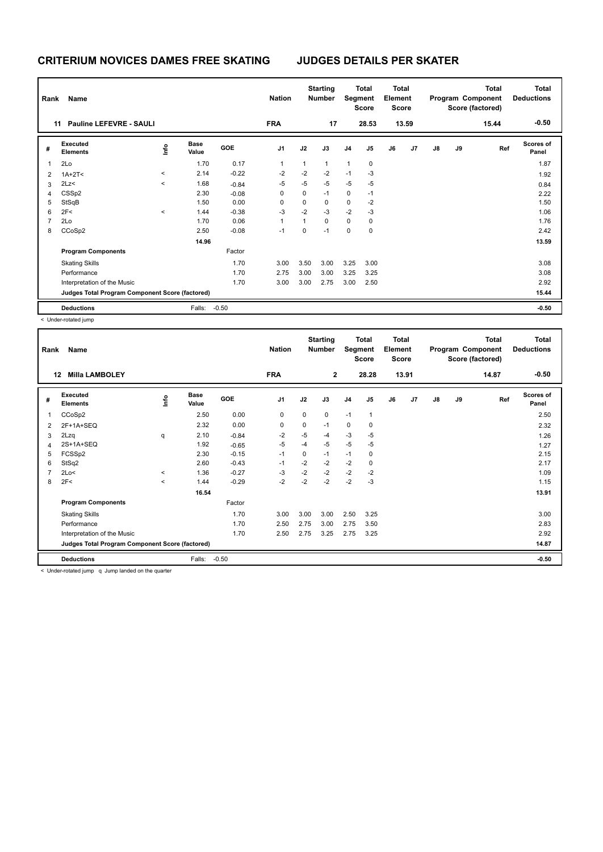| Rank           | <b>Name</b>                                     |                          |                      |            | <b>Nation</b>  |             | <b>Starting</b><br><b>Number</b> | Segment        | <b>Total</b><br><b>Score</b> | Total<br>Element<br><b>Score</b> |       |               |    | <b>Total</b><br>Program Component<br>Score (factored) | Total<br><b>Deductions</b> |
|----------------|-------------------------------------------------|--------------------------|----------------------|------------|----------------|-------------|----------------------------------|----------------|------------------------------|----------------------------------|-------|---------------|----|-------------------------------------------------------|----------------------------|
|                | Pauline LEFEVRE - SAULI<br>11                   |                          |                      |            | <b>FRA</b>     |             | 17                               |                | 28.53                        |                                  | 13.59 |               |    | 15.44                                                 | $-0.50$                    |
| #              | <b>Executed</b><br><b>Elements</b>              | ۴ů                       | <b>Base</b><br>Value | <b>GOE</b> | J <sub>1</sub> | J2          | J3                               | J <sub>4</sub> | J <sub>5</sub>               | J6                               | J7    | $\mathsf{J}8$ | J9 | Ref                                                   | <b>Scores of</b><br>Panel  |
| 1              | 2Lo                                             |                          | 1.70                 | 0.17       | 1              | 1           | $\mathbf{1}$                     | 1              | 0                            |                                  |       |               |    |                                                       | 1.87                       |
| 2              | $1A+2T2$                                        | $\overline{\phantom{a}}$ | 2.14                 | $-0.22$    | $-2$           | $-2$        | $-2$                             | $-1$           | -3                           |                                  |       |               |    |                                                       | 1.92                       |
| 3              | 2Lz<                                            | $\overline{\phantom{a}}$ | 1.68                 | $-0.84$    | $-5$           | $-5$        | $-5$                             | $-5$           | $-5$                         |                                  |       |               |    |                                                       | 0.84                       |
| $\overline{4}$ | CSS <sub>p2</sub>                               |                          | 2.30                 | $-0.08$    | 0              | 0           | $-1$                             | $\pmb{0}$      | $-1$                         |                                  |       |               |    |                                                       | 2.22                       |
| 5              | StSqB                                           |                          | 1.50                 | 0.00       | 0              | $\mathbf 0$ | $\mathbf 0$                      | $\pmb{0}$      | $-2$                         |                                  |       |               |    |                                                       | 1.50                       |
| 6              | 2F<                                             | $\overline{\phantom{a}}$ | 1.44                 | $-0.38$    | $-3$           | $-2$        | $-3$                             | $-2$           | $-3$                         |                                  |       |               |    |                                                       | 1.06                       |
| 7              | 2Lo                                             |                          | 1.70                 | 0.06       | 1              | 1           | $\mathbf 0$                      | $\mathbf 0$    | 0                            |                                  |       |               |    |                                                       | 1.76                       |
| 8              | CCoSp2                                          |                          | 2.50                 | $-0.08$    | $-1$           | 0           | $-1$                             | 0              | 0                            |                                  |       |               |    |                                                       | 2.42                       |
|                |                                                 |                          | 14.96                |            |                |             |                                  |                |                              |                                  |       |               |    |                                                       | 13.59                      |
|                | <b>Program Components</b>                       |                          |                      | Factor     |                |             |                                  |                |                              |                                  |       |               |    |                                                       |                            |
|                | <b>Skating Skills</b>                           |                          |                      | 1.70       | 3.00           | 3.50        | 3.00                             | 3.25           | 3.00                         |                                  |       |               |    |                                                       | 3.08                       |
|                | Performance                                     |                          |                      | 1.70       | 2.75           | 3.00        | 3.00                             | 3.25           | 3.25                         |                                  |       |               |    |                                                       | 3.08                       |
|                | Interpretation of the Music                     |                          |                      | 1.70       | 3.00           | 3.00        | 2.75                             | 3.00           | 2.50                         |                                  |       |               |    |                                                       | 2.92                       |
|                | Judges Total Program Component Score (factored) |                          |                      |            |                |             |                                  |                |                              |                                  |       |               |    |                                                       | 15.44                      |
|                | <b>Deductions</b>                               |                          | Falls:               | $-0.50$    |                |             |                                  |                |                              |                                  |       |               |    |                                                       | $-0.50$                    |

< Under-rotated jump

| Rank | Name                                            |                          | <b>Nation</b>        |            | <b>Starting</b><br><b>Number</b> |          | <b>Total</b><br>Segment<br><b>Score</b> | <b>Total</b><br>Element<br><b>Score</b> |       |    |       | <b>Total</b><br>Program Component<br>Score (factored) | <b>Total</b><br><b>Deductions</b> |       |                           |
|------|-------------------------------------------------|--------------------------|----------------------|------------|----------------------------------|----------|-----------------------------------------|-----------------------------------------|-------|----|-------|-------------------------------------------------------|-----------------------------------|-------|---------------------------|
| 12   | <b>Milla LAMBOLEY</b>                           |                          |                      |            | <b>FRA</b>                       |          | $\overline{2}$                          |                                         | 28.28 |    | 13.91 |                                                       |                                   | 14.87 | $-0.50$                   |
| #    | <b>Executed</b><br><b>Elements</b>              | ۴ů                       | <b>Base</b><br>Value | <b>GOE</b> | J <sub>1</sub>                   | J2       | J3                                      | J <sub>4</sub>                          | J5    | J6 | J7    | J8                                                    | J9                                | Ref   | <b>Scores of</b><br>Panel |
| 1    | CCoSp2                                          |                          | 2.50                 | 0.00       | 0                                | 0        | 0                                       | $-1$                                    | 1     |    |       |                                                       |                                   |       | 2.50                      |
| 2    | 2F+1A+SEQ                                       |                          | 2.32                 | 0.00       | 0                                | 0        | $-1$                                    | 0                                       | 0     |    |       |                                                       |                                   |       | 2.32                      |
| 3    | 2Lzq                                            | q                        | 2.10                 | $-0.84$    | $-2$                             | $-5$     | $-4$                                    | $-3$                                    | $-5$  |    |       |                                                       |                                   |       | 1.26                      |
| 4    | 2S+1A+SEQ                                       |                          | 1.92                 | $-0.65$    | $-5$                             | $-4$     | $-5$                                    | $-5$                                    | $-5$  |    |       |                                                       |                                   |       | 1.27                      |
| 5    | FCSSp2                                          |                          | 2.30                 | $-0.15$    | $-1$                             | $\Omega$ | $-1$                                    | $-1$                                    | 0     |    |       |                                                       |                                   |       | 2.15                      |
| 6    | StSq2                                           |                          | 2.60                 | $-0.43$    | $-1$                             | $-2$     | $-2$                                    | $-2$                                    | 0     |    |       |                                                       |                                   |       | 2.17                      |
| 7    | 2Lo<                                            | $\,<$                    | 1.36                 | $-0.27$    | $-3$                             | $-2$     | $-2$                                    | $-2$                                    | $-2$  |    |       |                                                       |                                   |       | 1.09                      |
| 8    | 2F<                                             | $\overline{\phantom{0}}$ | 1.44                 | $-0.29$    | $-2$                             | $-2$     | $-2$                                    | $-2$                                    | $-3$  |    |       |                                                       |                                   |       | 1.15                      |
|      |                                                 |                          | 16.54                |            |                                  |          |                                         |                                         |       |    |       |                                                       |                                   |       | 13.91                     |
|      | <b>Program Components</b>                       |                          |                      | Factor     |                                  |          |                                         |                                         |       |    |       |                                                       |                                   |       |                           |
|      | <b>Skating Skills</b>                           |                          |                      | 1.70       | 3.00                             | 3.00     | 3.00                                    | 2.50                                    | 3.25  |    |       |                                                       |                                   |       | 3.00                      |
|      | Performance                                     |                          |                      | 1.70       | 2.50                             | 2.75     | 3.00                                    | 2.75                                    | 3.50  |    |       |                                                       |                                   |       | 2.83                      |
|      | Interpretation of the Music                     |                          |                      | 1.70       | 2.50                             | 2.75     | 3.25                                    | 2.75                                    | 3.25  |    |       |                                                       |                                   |       | 2.92                      |
|      | Judges Total Program Component Score (factored) |                          |                      |            |                                  |          |                                         |                                         |       |    |       |                                                       |                                   |       | 14.87                     |
|      | <b>Deductions</b>                               |                          | Falls:               | $-0.50$    |                                  |          |                                         |                                         |       |    |       |                                                       |                                   |       | $-0.50$                   |

< Under-rotated jump q Jump landed on the quarter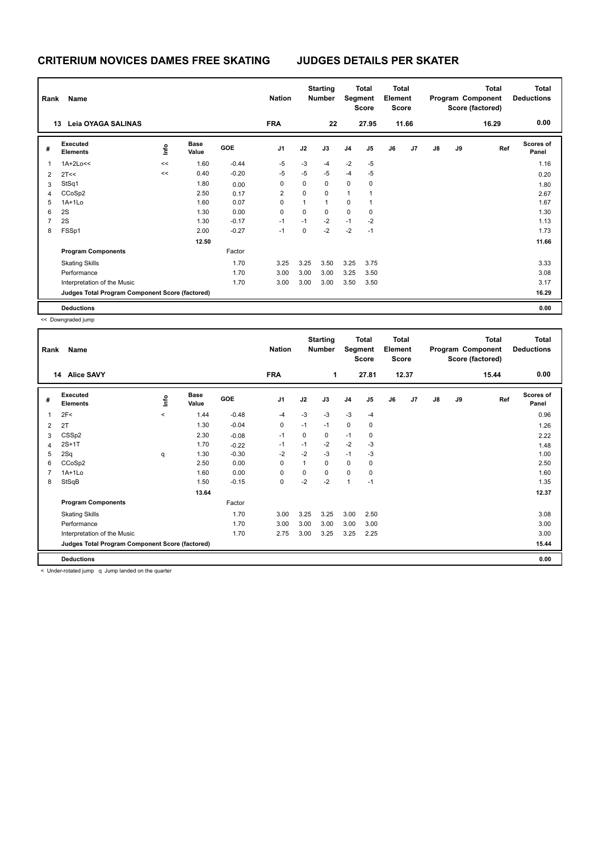| Rank           | Name                                            |    |                      |            | <b>Nation</b>  |      | <b>Starting</b><br><b>Number</b> |                | <b>Total</b><br>Segment<br><b>Score</b> | <b>Total</b><br>Element<br><b>Score</b> |       |    |    | <b>Total</b><br>Program Component<br>Score (factored) | <b>Total</b><br><b>Deductions</b> |
|----------------|-------------------------------------------------|----|----------------------|------------|----------------|------|----------------------------------|----------------|-----------------------------------------|-----------------------------------------|-------|----|----|-------------------------------------------------------|-----------------------------------|
|                | <b>Leia OYAGA SALINAS</b><br>13                 |    |                      |            | <b>FRA</b>     |      | 22                               |                | 27.95                                   |                                         | 11.66 |    |    | 16.29                                                 | 0.00                              |
| #              | Executed<br><b>Elements</b>                     | e  | <b>Base</b><br>Value | <b>GOE</b> | J <sub>1</sub> | J2   | J3                               | J <sub>4</sub> | J5                                      | J6                                      | J7    | J8 | J9 | Ref                                                   | <b>Scores of</b><br>Panel         |
| 1              | $1A+2Lo<<$                                      | << | 1.60                 | $-0.44$    | $-5$           | $-3$ | -4                               | $-2$           | $-5$                                    |                                         |       |    |    |                                                       | 1.16                              |
| $\overline{2}$ | 2T<<                                            | << | 0.40                 | $-0.20$    | $-5$           | $-5$ | -5                               | $-4$           | -5                                      |                                         |       |    |    |                                                       | 0.20                              |
| 3              | StSq1                                           |    | 1.80                 | 0.00       | 0              | 0    | $\Omega$                         | $\mathbf 0$    | $\mathbf 0$                             |                                         |       |    |    |                                                       | 1.80                              |
| 4              | CCoSp2                                          |    | 2.50                 | 0.17       | 2              | 0    | 0                                | $\mathbf{1}$   | ٠                                       |                                         |       |    |    |                                                       | 2.67                              |
| 5              | $1A+1Lo$                                        |    | 1.60                 | 0.07       | 0              | 1    | $\mathbf{1}$                     | 0              | -1                                      |                                         |       |    |    |                                                       | 1.67                              |
| 6              | 2S                                              |    | 1.30                 | 0.00       | 0              | 0    | $\mathbf 0$                      | $\mathbf 0$    | 0                                       |                                         |       |    |    |                                                       | 1.30                              |
| 7              | 2S                                              |    | 1.30                 | $-0.17$    | $-1$           | $-1$ | $-2$                             | $-1$           | $-2$                                    |                                         |       |    |    |                                                       | 1.13                              |
| 8              | FSSp1                                           |    | 2.00                 | $-0.27$    | $-1$           | 0    | $-2$                             | $-2$           | $-1$                                    |                                         |       |    |    |                                                       | 1.73                              |
|                |                                                 |    | 12.50                |            |                |      |                                  |                |                                         |                                         |       |    |    |                                                       | 11.66                             |
|                | <b>Program Components</b>                       |    |                      | Factor     |                |      |                                  |                |                                         |                                         |       |    |    |                                                       |                                   |
|                | <b>Skating Skills</b>                           |    |                      | 1.70       | 3.25           | 3.25 | 3.50                             | 3.25           | 3.75                                    |                                         |       |    |    |                                                       | 3.33                              |
|                | Performance                                     |    |                      | 1.70       | 3.00           | 3.00 | 3.00                             | 3.25           | 3.50                                    |                                         |       |    |    |                                                       | 3.08                              |
|                | Interpretation of the Music                     |    |                      | 1.70       | 3.00           | 3.00 | 3.00                             | 3.50           | 3.50                                    |                                         |       |    |    |                                                       | 3.17                              |
|                | Judges Total Program Component Score (factored) |    |                      |            |                |      |                                  |                |                                         |                                         |       |    |    |                                                       | 16.29                             |
|                | <b>Deductions</b>                               |    |                      |            |                |      |                                  |                |                                         |                                         |       |    |    |                                                       | 0.00                              |

<< Downgraded jump

| Rank           | Name                                            |       |                      |         | <b>Nation</b>  |              | <b>Starting</b><br><b>Number</b> | Segment        | Total<br><b>Score</b> | Total<br>Element<br><b>Score</b> |       |    |    | <b>Total</b><br>Program Component<br>Score (factored) | Total<br><b>Deductions</b> |
|----------------|-------------------------------------------------|-------|----------------------|---------|----------------|--------------|----------------------------------|----------------|-----------------------|----------------------------------|-------|----|----|-------------------------------------------------------|----------------------------|
|                | <b>Alice SAVY</b><br>14                         |       |                      |         | <b>FRA</b>     |              | $\mathbf{1}$                     |                | 27.81                 |                                  | 12.37 |    |    | 15.44                                                 | 0.00                       |
| #              | Executed<br><b>Elements</b>                     | ١nf٥  | <b>Base</b><br>Value | GOE     | J <sub>1</sub> | J2           | J3                               | J <sub>4</sub> | J <sub>5</sub>        | J6                               | J7    | J8 | J9 | Ref                                                   | Scores of<br>Panel         |
| 1              | 2F<                                             | $\,<$ | 1.44                 | $-0.48$ | -4             | $-3$         | $-3$                             | $-3$           | $-4$                  |                                  |       |    |    |                                                       | 0.96                       |
| 2              | 2T                                              |       | 1.30                 | $-0.04$ | $\mathbf 0$    | $-1$         | $-1$                             | $\mathbf 0$    | 0                     |                                  |       |    |    |                                                       | 1.26                       |
| 3              | CSS <sub>p2</sub>                               |       | 2.30                 | $-0.08$ | $-1$           | 0            | 0                                | $-1$           | 0                     |                                  |       |    |    |                                                       | 2.22                       |
| 4              | $2S+1T$                                         |       | 1.70                 | $-0.22$ | $-1$           | $-1$         | $-2$                             | $-2$           | -3                    |                                  |       |    |    |                                                       | 1.48                       |
| 5              | 2Sq                                             | q     | 1.30                 | $-0.30$ | $-2$           | $-2$         | $-3$                             | $-1$           | -3                    |                                  |       |    |    |                                                       | 1.00                       |
| 6              | CCoSp2                                          |       | 2.50                 | 0.00    | 0              | $\mathbf{1}$ | 0                                | $\mathbf 0$    | 0                     |                                  |       |    |    |                                                       | 2.50                       |
| $\overline{7}$ | $1A+1Lo$                                        |       | 1.60                 | 0.00    | $\mathbf 0$    | $\Omega$     | $\Omega$                         | $\Omega$       | 0                     |                                  |       |    |    |                                                       | 1.60                       |
| 8              | StSqB                                           |       | 1.50                 | $-0.15$ | 0              | $-2$         | $-2$                             | $\overline{1}$ | $-1$                  |                                  |       |    |    |                                                       | 1.35                       |
|                |                                                 |       | 13.64                |         |                |              |                                  |                |                       |                                  |       |    |    |                                                       | 12.37                      |
|                | <b>Program Components</b>                       |       |                      | Factor  |                |              |                                  |                |                       |                                  |       |    |    |                                                       |                            |
|                | <b>Skating Skills</b>                           |       |                      | 1.70    | 3.00           | 3.25         | 3.25                             | 3.00           | 2.50                  |                                  |       |    |    |                                                       | 3.08                       |
|                | Performance                                     |       |                      | 1.70    | 3.00           | 3.00         | 3.00                             | 3.00           | 3.00                  |                                  |       |    |    |                                                       | 3.00                       |
|                | Interpretation of the Music                     |       |                      | 1.70    | 2.75           | 3.00         | 3.25                             | 3.25           | 2.25                  |                                  |       |    |    |                                                       | 3.00                       |
|                | Judges Total Program Component Score (factored) |       |                      |         |                |              |                                  |                |                       |                                  |       |    |    |                                                       | 15.44                      |
|                | <b>Deductions</b>                               |       |                      |         |                |              |                                  |                |                       |                                  |       |    |    |                                                       | 0.00                       |

< Under-rotated jump q Jump landed on the quarter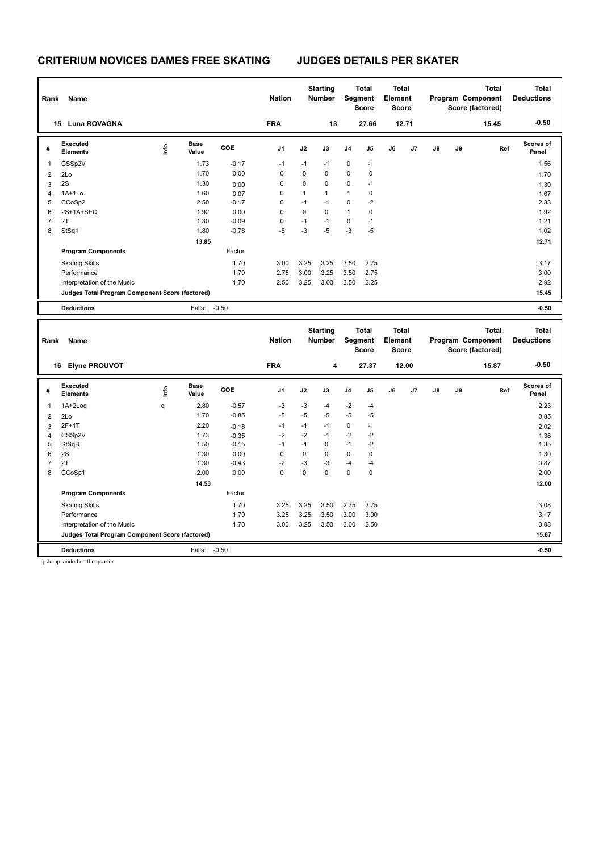| Rank           | Name                                            |      |                      |            | <b>Nation</b>  |             | <b>Starting</b><br><b>Number</b> | Segment        | <b>Total</b><br><b>Score</b> | <b>Total</b><br><b>Element</b><br><b>Score</b> |       |    |    | <b>Total</b><br>Program Component<br>Score (factored) | <b>Total</b><br><b>Deductions</b> |
|----------------|-------------------------------------------------|------|----------------------|------------|----------------|-------------|----------------------------------|----------------|------------------------------|------------------------------------------------|-------|----|----|-------------------------------------------------------|-----------------------------------|
|                | <b>Luna ROVAGNA</b><br>15                       |      |                      |            | <b>FRA</b>     |             | 13                               |                | 27.66                        |                                                | 12.71 |    |    | 15.45                                                 | $-0.50$                           |
| #              | <b>Executed</b><br><b>Elements</b>              | ١nf٥ | <b>Base</b><br>Value | <b>GOE</b> | J <sub>1</sub> | J2          | J3                               | J <sub>4</sub> | J5                           | J6                                             | J7    | J8 | J9 | Ref                                                   | Scores of<br>Panel                |
| 1              | CSSp2V                                          |      | 1.73                 | $-0.17$    | $-1$           | $-1$        | $-1$                             | 0              | $-1$                         |                                                |       |    |    |                                                       | 1.56                              |
| $\overline{2}$ | 2Lo                                             |      | 1.70                 | 0.00       | $\mathbf 0$    | $\mathbf 0$ | $\mathbf 0$                      | $\mathbf 0$    | 0                            |                                                |       |    |    |                                                       | 1.70                              |
| 3              | 2S                                              |      | 1.30                 | 0.00       | 0              | $\mathbf 0$ | $\mathbf 0$                      | $\mathbf 0$    | $-1$                         |                                                |       |    |    |                                                       | 1.30                              |
| 4              | $1A+1L0$                                        |      | 1.60                 | 0.07       | 0              | 1           | 1                                | 1              | 0                            |                                                |       |    |    |                                                       | 1.67                              |
| 5              | CCoSp2                                          |      | 2.50                 | $-0.17$    | 0              | $-1$        | $-1$                             | 0              | $-2$                         |                                                |       |    |    |                                                       | 2.33                              |
| 6              | 2S+1A+SEQ                                       |      | 1.92                 | 0.00       | 0              | $\Omega$    | $\Omega$                         | 1              | 0                            |                                                |       |    |    |                                                       | 1.92                              |
| $\overline{7}$ | 2T                                              |      | 1.30                 | $-0.09$    | 0              | $-1$        | $-1$                             | 0              | $-1$                         |                                                |       |    |    |                                                       | 1.21                              |
| 8              | StSq1                                           |      | 1.80                 | $-0.78$    | $-5$           | $-3$        | $-5$                             | $-3$           | $-5$                         |                                                |       |    |    |                                                       | 1.02                              |
|                |                                                 |      | 13.85                |            |                |             |                                  |                |                              |                                                |       |    |    |                                                       | 12.71                             |
|                | <b>Program Components</b>                       |      |                      | Factor     |                |             |                                  |                |                              |                                                |       |    |    |                                                       |                                   |
|                | <b>Skating Skills</b>                           |      |                      | 1.70       | 3.00           | 3.25        | 3.25                             | 3.50           | 2.75                         |                                                |       |    |    |                                                       | 3.17                              |
|                | Performance                                     |      |                      | 1.70       | 2.75           | 3.00        | 3.25                             | 3.50           | 2.75                         |                                                |       |    |    |                                                       | 3.00                              |
|                | Interpretation of the Music                     |      |                      | 1.70       | 2.50           | 3.25        | 3.00                             | 3.50           | 2.25                         |                                                |       |    |    |                                                       | 2.92                              |
|                | Judges Total Program Component Score (factored) |      |                      |            |                |             |                                  |                |                              |                                                |       |    |    |                                                       | 15.45                             |
|                | <b>Deductions</b>                               |      | Falls:               | $-0.50$    |                |             |                                  |                |                              |                                                |       |    |    |                                                       | $-0.50$                           |
|                |                                                 |      |                      |            |                |             |                                  |                |                              |                                                |       |    |    |                                                       |                                   |

| Rank           | Name                                            |      |                      |         | <b>Nation</b>  |      | <b>Starting</b><br><b>Number</b> |                | Total<br>Segment<br><b>Score</b> | <b>Total</b><br>Element<br><b>Score</b> |       |               |    | Total<br>Program Component<br>Score (factored) | <b>Total</b><br><b>Deductions</b> |
|----------------|-------------------------------------------------|------|----------------------|---------|----------------|------|----------------------------------|----------------|----------------------------------|-----------------------------------------|-------|---------------|----|------------------------------------------------|-----------------------------------|
|                | <b>Elyne PROUVOT</b><br>16                      |      |                      |         | <b>FRA</b>     |      | 4                                |                | 27.37                            |                                         | 12.00 |               |    | 15.87                                          | $-0.50$                           |
| #              | Executed<br><b>Elements</b>                     | ١nfo | <b>Base</b><br>Value | GOE     | J <sub>1</sub> | J2   | J3                               | J <sub>4</sub> | J5                               | J6                                      | J7    | $\mathsf{J}8$ | J9 | Ref                                            | <b>Scores of</b><br>Panel         |
|                | 1A+2Loq                                         | q    | 2.80                 | $-0.57$ | $-3$           | $-3$ | $-4$                             | $-2$           | $-4$                             |                                         |       |               |    |                                                | 2.23                              |
| $\overline{2}$ | 2Lo                                             |      | 1.70                 | $-0.85$ | $-5$           | $-5$ | $-5$                             | $-5$           | $-5$                             |                                         |       |               |    |                                                | 0.85                              |
| 3              | $2F+1T$                                         |      | 2.20                 | $-0.18$ | $-1$           | $-1$ | $-1$                             | 0              | $-1$                             |                                         |       |               |    |                                                | 2.02                              |
| $\overline{4}$ | CSSp2V                                          |      | 1.73                 | $-0.35$ | $-2$           | $-2$ | $-1$                             | $-2$           | $-2$                             |                                         |       |               |    |                                                | 1.38                              |
| 5              | StSqB                                           |      | 1.50                 | $-0.15$ | $-1$           | $-1$ | 0                                | $-1$           | $-2$                             |                                         |       |               |    |                                                | 1.35                              |
| 6              | 2S                                              |      | 1.30                 | 0.00    | 0              | 0    | 0                                | 0              | 0                                |                                         |       |               |    |                                                | 1.30                              |
|                | 2T                                              |      | 1.30                 | $-0.43$ | $-2$           | $-3$ | $-3$                             | $-4$           | $-4$                             |                                         |       |               |    |                                                | 0.87                              |
| 8              | CCoSp1                                          |      | 2.00                 | 0.00    | 0              | 0    | 0                                | 0              | 0                                |                                         |       |               |    |                                                | 2.00                              |
|                |                                                 |      | 14.53                |         |                |      |                                  |                |                                  |                                         |       |               |    |                                                | 12.00                             |
|                | <b>Program Components</b>                       |      |                      | Factor  |                |      |                                  |                |                                  |                                         |       |               |    |                                                |                                   |
|                | <b>Skating Skills</b>                           |      |                      | 1.70    | 3.25           | 3.25 | 3.50                             | 2.75           | 2.75                             |                                         |       |               |    |                                                | 3.08                              |
|                | Performance                                     |      |                      | 1.70    | 3.25           | 3.25 | 3.50                             | 3.00           | 3.00                             |                                         |       |               |    |                                                | 3.17                              |
|                | Interpretation of the Music                     |      |                      | 1.70    | 3.00           | 3.25 | 3.50                             | 3.00           | 2.50                             |                                         |       |               |    |                                                | 3.08                              |
|                | Judges Total Program Component Score (factored) |      |                      |         |                |      |                                  |                |                                  |                                         |       |               |    |                                                | 15.87                             |
|                | <b>Deductions</b>                               |      | Falls:               | $-0.50$ |                |      |                                  |                |                                  |                                         |       |               |    |                                                | $-0.50$                           |

q Jump landed on the quarter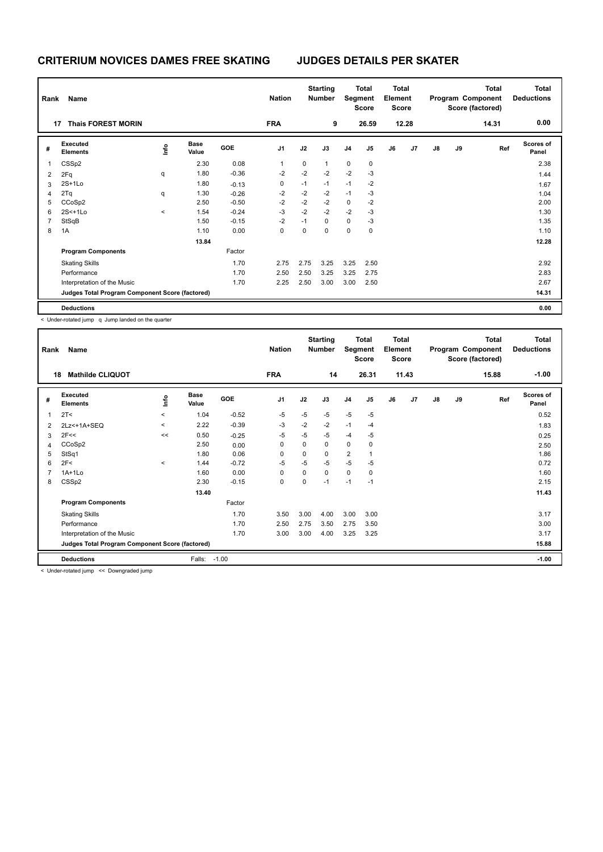| Rank                    | Name                                            |       |                      |            | <b>Nation</b>  |      | <b>Starting</b><br><b>Number</b> |                | <b>Total</b><br>Segment<br><b>Score</b> | <b>Total</b><br>Element<br><b>Score</b> |       |               |    | <b>Total</b><br>Program Component<br>Score (factored) | Total<br><b>Deductions</b> |
|-------------------------|-------------------------------------------------|-------|----------------------|------------|----------------|------|----------------------------------|----------------|-----------------------------------------|-----------------------------------------|-------|---------------|----|-------------------------------------------------------|----------------------------|
|                         | <b>Thais FOREST MORIN</b><br>17                 |       |                      |            | <b>FRA</b>     |      | 9                                |                | 26.59                                   |                                         | 12.28 |               |    | 14.31                                                 | 0.00                       |
| #                       | Executed<br><b>Elements</b>                     | ١nfo  | <b>Base</b><br>Value | <b>GOE</b> | J <sub>1</sub> | J2   | J3                               | J <sub>4</sub> | J <sub>5</sub>                          | J6                                      | J7    | $\mathsf{J}8$ | J9 | Ref                                                   | Scores of<br>Panel         |
| $\overline{\mathbf{1}}$ | CSS <sub>p2</sub>                               |       | 2.30                 | 0.08       | 1              | 0    | $\mathbf{1}$                     | 0              | 0                                       |                                         |       |               |    |                                                       | 2.38                       |
| $\overline{2}$          | 2Fq                                             | q     | 1.80                 | $-0.36$    | $-2$           | $-2$ | $-2$                             | $-2$           | -3                                      |                                         |       |               |    |                                                       | 1.44                       |
| 3                       | $2S+1Lo$                                        |       | 1.80                 | $-0.13$    | 0              | $-1$ | $-1$                             | $-1$           | $-2$                                    |                                         |       |               |    |                                                       | 1.67                       |
| 4                       | 2Tq                                             | q     | 1.30                 | $-0.26$    | $-2$           | $-2$ | $-2$                             | $-1$           | -3                                      |                                         |       |               |    |                                                       | 1.04                       |
| 5                       | CCoSp2                                          |       | 2.50                 | $-0.50$    | $-2$           | $-2$ | $-2$                             | 0              | $-2$                                    |                                         |       |               |    |                                                       | 2.00                       |
| 6                       | $2S<+1Lo$                                       | $\,<$ | 1.54                 | $-0.24$    | $-3$           | $-2$ | $-2$                             | $-2$           | $-3$                                    |                                         |       |               |    |                                                       | 1.30                       |
| $\overline{7}$          | StSqB                                           |       | 1.50                 | $-0.15$    | $-2$           | $-1$ | $\Omega$                         | $\mathbf 0$    | $-3$                                    |                                         |       |               |    |                                                       | 1.35                       |
| 8                       | 1A                                              |       | 1.10                 | 0.00       | $\mathbf 0$    | 0    | $\mathbf 0$                      | $\mathbf 0$    | $\mathbf 0$                             |                                         |       |               |    |                                                       | 1.10                       |
|                         |                                                 |       | 13.84                |            |                |      |                                  |                |                                         |                                         |       |               |    |                                                       | 12.28                      |
|                         | <b>Program Components</b>                       |       |                      | Factor     |                |      |                                  |                |                                         |                                         |       |               |    |                                                       |                            |
|                         | <b>Skating Skills</b>                           |       |                      | 1.70       | 2.75           | 2.75 | 3.25                             | 3.25           | 2.50                                    |                                         |       |               |    |                                                       | 2.92                       |
|                         | Performance                                     |       |                      | 1.70       | 2.50           | 2.50 | 3.25                             | 3.25           | 2.75                                    |                                         |       |               |    |                                                       | 2.83                       |
|                         | Interpretation of the Music                     |       |                      | 1.70       | 2.25           | 2.50 | 3.00                             | 3.00           | 2.50                                    |                                         |       |               |    |                                                       | 2.67                       |
|                         | Judges Total Program Component Score (factored) |       |                      |            |                |      |                                  |                |                                         |                                         |       |               |    |                                                       | 14.31                      |
|                         | <b>Deductions</b>                               |       |                      |            |                |      |                                  |                |                                         |                                         |       |               |    |                                                       | 0.00                       |

< Under-rotated jump q Jump landed on the quarter

| Rank | <b>Name</b>                                                           |         |                      |            | <b>Nation</b>  |          | <b>Starting</b><br><b>Number</b> | Segment        | <b>Total</b><br><b>Score</b> | <b>Total</b><br>Element<br><b>Score</b> |       |               |    | <b>Total</b><br>Program Component<br>Score (factored) | <b>Total</b><br><b>Deductions</b> |
|------|-----------------------------------------------------------------------|---------|----------------------|------------|----------------|----------|----------------------------------|----------------|------------------------------|-----------------------------------------|-------|---------------|----|-------------------------------------------------------|-----------------------------------|
| 18   | <b>Mathilde CLIQUOT</b>                                               |         |                      |            | <b>FRA</b>     |          | 14                               |                | 26.31                        |                                         | 11.43 |               |    | 15.88                                                 | $-1.00$                           |
| #    | <b>Executed</b><br><b>Elements</b>                                    | ١nf٥    | <b>Base</b><br>Value | <b>GOE</b> | J <sub>1</sub> | J2       | J3                               | J <sub>4</sub> | J5                           | J6                                      | J7    | $\mathsf{J}8$ | J9 | Ref                                                   | <b>Scores of</b><br>Panel         |
| 1    | 2T <                                                                  | $\prec$ | 1.04                 | $-0.52$    | $-5$           | $-5$     | $-5$                             | $-5$           | $-5$                         |                                         |       |               |    |                                                       | 0.52                              |
| 2    | 2Lz <+ 1A + SEQ                                                       | $\prec$ | 2.22                 | $-0.39$    | -3             | $-2$     | $-2$                             | $-1$           | $-4$                         |                                         |       |               |    |                                                       | 1.83                              |
| 3    | 2F<<                                                                  | <<      | 0.50                 | $-0.25$    | $-5$           | $-5$     | $-5$                             | $-4$           | $-5$                         |                                         |       |               |    |                                                       | 0.25                              |
| 4    | CCoSp2                                                                |         | 2.50                 | 0.00       | 0              | 0        | 0                                | $\mathbf 0$    | 0                            |                                         |       |               |    |                                                       | 2.50                              |
| 5    | StSq1                                                                 |         | 1.80                 | 0.06       | 0              | 0        | 0                                | 2              | 1                            |                                         |       |               |    |                                                       | 1.86                              |
| 6    | 2F<                                                                   | $\,<\,$ | 1.44                 | $-0.72$    | $-5$           | $-5$     | $-5$                             | $-5$           | $-5$                         |                                         |       |               |    |                                                       | 0.72                              |
|      | $1A+1L0$                                                              |         | 1.60                 | 0.00       | 0              | $\Omega$ | 0                                | 0              | 0                            |                                         |       |               |    |                                                       | 1.60                              |
| 8    | CSS <sub>p2</sub>                                                     |         | 2.30                 | $-0.15$    | 0              | 0        | $-1$                             | $-1$           | $-1$                         |                                         |       |               |    |                                                       | 2.15                              |
|      |                                                                       |         | 13.40                |            |                |          |                                  |                |                              |                                         |       |               |    |                                                       | 11.43                             |
|      | <b>Program Components</b>                                             |         |                      | Factor     |                |          |                                  |                |                              |                                         |       |               |    |                                                       |                                   |
|      | <b>Skating Skills</b>                                                 |         |                      | 1.70       | 3.50           | 3.00     | 4.00                             | 3.00           | 3.00                         |                                         |       |               |    |                                                       | 3.17                              |
|      | Performance                                                           |         |                      | 1.70       | 2.50           | 2.75     | 3.50                             | 2.75           | 3.50                         |                                         |       |               |    |                                                       | 3.00                              |
|      | Interpretation of the Music                                           |         |                      | 1.70       | 3.00           | 3.00     | 4.00                             | 3.25           | 3.25                         |                                         |       |               |    |                                                       | 3.17                              |
|      | Judges Total Program Component Score (factored)                       |         |                      |            |                |          |                                  |                |                              |                                         |       |               |    |                                                       | 15.88                             |
|      | <b>Deductions</b>                                                     |         | Falls:               | $-1.00$    |                |          |                                  |                |                              |                                         |       |               |    |                                                       | $-1.00$                           |
|      | and the state particular terms of the and Process are stated terms as |         |                      |            |                |          |                                  |                |                              |                                         |       |               |    |                                                       |                                   |

< Under-rotated jump << Downgraded jump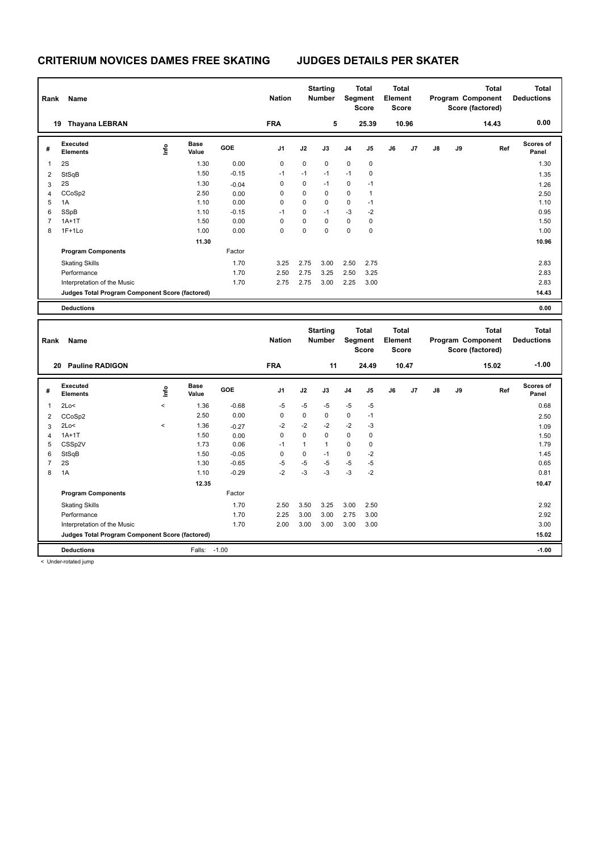| Rank | Name                                            |      |                      |         | <b>Nation</b>  |          | <b>Starting</b><br><b>Number</b> |                | <b>Total</b><br>Segment<br><b>Score</b> | Total<br>Element<br><b>Score</b> |       |               |    | <b>Total</b><br>Program Component<br>Score (factored) | <b>Total</b><br><b>Deductions</b> |
|------|-------------------------------------------------|------|----------------------|---------|----------------|----------|----------------------------------|----------------|-----------------------------------------|----------------------------------|-------|---------------|----|-------------------------------------------------------|-----------------------------------|
|      | <b>Thayana LEBRAN</b><br>19                     |      |                      |         | <b>FRA</b>     |          | 5                                |                | 25.39                                   |                                  | 10.96 |               |    | 14.43                                                 | 0.00                              |
| #    | <b>Executed</b><br><b>Elements</b>              | ١nfo | <b>Base</b><br>Value | GOE     | J <sub>1</sub> | J2       | J3                               | J <sub>4</sub> | J5                                      | J6                               | J7    | $\mathsf{J}8$ | J9 | Ref                                                   | Scores of<br>Panel                |
| 1    | 2S                                              |      | 1.30                 | 0.00    | 0              | 0        | $\mathbf 0$                      | $\mathbf 0$    | $\mathbf 0$                             |                                  |       |               |    |                                                       | 1.30                              |
| 2    | StSqB                                           |      | 1.50                 | $-0.15$ | $-1$           | $-1$     | $-1$                             | $-1$           | 0                                       |                                  |       |               |    |                                                       | 1.35                              |
| 3    | 2S                                              |      | 1.30                 | $-0.04$ | 0              | 0        | $-1$                             | 0              | $-1$                                    |                                  |       |               |    |                                                       | 1.26                              |
| 4    | CCoSp2                                          |      | 2.50                 | 0.00    | 0              | 0        | 0                                | $\mathbf 0$    | 1                                       |                                  |       |               |    |                                                       | 2.50                              |
| 5    | 1A                                              |      | 1.10                 | 0.00    | 0              | 0        | 0                                | 0              | $-1$                                    |                                  |       |               |    |                                                       | 1.10                              |
| 6    | SSpB                                            |      | 1.10                 | $-0.15$ | $-1$           | 0        | $-1$                             | $-3$           | $-2$                                    |                                  |       |               |    |                                                       | 0.95                              |
| 7    | $1A+1T$                                         |      | 1.50                 | 0.00    | 0              | 0        | 0                                | $\mathbf 0$    | 0                                       |                                  |       |               |    |                                                       | 1.50                              |
| 8    | $1F+1Lo$                                        |      | 1.00                 | 0.00    | 0              | $\Omega$ | $\mathbf 0$                      | $\mathbf 0$    | 0                                       |                                  |       |               |    |                                                       | 1.00                              |
|      |                                                 |      | 11.30                |         |                |          |                                  |                |                                         |                                  |       |               |    |                                                       | 10.96                             |
|      | <b>Program Components</b>                       |      |                      | Factor  |                |          |                                  |                |                                         |                                  |       |               |    |                                                       |                                   |
|      | <b>Skating Skills</b>                           |      |                      | 1.70    | 3.25           | 2.75     | 3.00                             | 2.50           | 2.75                                    |                                  |       |               |    |                                                       | 2.83                              |
|      | Performance                                     |      |                      | 1.70    | 2.50           | 2.75     | 3.25                             | 2.50           | 3.25                                    |                                  |       |               |    |                                                       | 2.83                              |
|      | Interpretation of the Music                     |      |                      | 1.70    | 2.75           | 2.75     | 3.00                             | 2.25           | 3.00                                    |                                  |       |               |    |                                                       | 2.83                              |
|      | Judges Total Program Component Score (factored) |      |                      |         |                |          |                                  |                |                                         |                                  |       |               |    |                                                       | 14.43                             |
|      | <b>Deductions</b>                               |      |                      |         |                |          |                                  |                |                                         |                                  |       |               |    |                                                       | 0.00                              |

| Rank           | Name<br><b>Pauline RADIGON</b><br>20            |         |                      |            | <b>Nation</b><br><b>FRA</b> |              | <b>Starting</b><br><b>Number</b><br>11 |                | Total<br>Segment<br><b>Score</b><br>24.49 | <b>Total</b><br>Element<br><b>Score</b> | 10.47          |               |    | <b>Total</b><br>Program Component<br>Score (factored)<br>15.02 | Total<br><b>Deductions</b><br>$-1.00$ |
|----------------|-------------------------------------------------|---------|----------------------|------------|-----------------------------|--------------|----------------------------------------|----------------|-------------------------------------------|-----------------------------------------|----------------|---------------|----|----------------------------------------------------------------|---------------------------------------|
| #              | Executed<br><b>Elements</b>                     | lnfo    | <b>Base</b><br>Value | <b>GOE</b> | J <sub>1</sub>              | J2           | J3                                     | J <sub>4</sub> | J <sub>5</sub>                            | J6                                      | J <sub>7</sub> | $\mathsf{J}8$ | J9 | Ref                                                            | <b>Scores of</b><br>Panel             |
|                | 2Lo<                                            | $\prec$ | 1.36                 | $-0.68$    | $-5$                        | $-5$         | $-5$                                   | $-5$           | $-5$                                      |                                         |                |               |    |                                                                | 0.68                                  |
| $\overline{2}$ | CCoSp2                                          |         | 2.50                 | 0.00       | 0                           | $\mathbf 0$  | $\Omega$                               | $\mathbf 0$    | $-1$                                      |                                         |                |               |    |                                                                | 2.50                                  |
| 3              | 2Lo<                                            | $\prec$ | 1.36                 | $-0.27$    | $-2$                        | $-2$         | $-2$                                   | $-2$           | $-3$                                      |                                         |                |               |    |                                                                | 1.09                                  |
| Δ              | $1A+1T$                                         |         | 1.50                 | 0.00       | 0                           | $\mathbf 0$  | $\Omega$                               | $\mathbf 0$    | 0                                         |                                         |                |               |    |                                                                | 1.50                                  |
| 5              | CSSp2V                                          |         | 1.73                 | 0.06       | $-1$                        | $\mathbf{1}$ | 1                                      | 0              | 0                                         |                                         |                |               |    |                                                                | 1.79                                  |
| 6              | StSqB                                           |         | 1.50                 | $-0.05$    | 0                           | 0            | $-1$                                   | $\mathbf 0$    | $-2$                                      |                                         |                |               |    |                                                                | 1.45                                  |
|                | 2S                                              |         | 1.30                 | $-0.65$    | -5                          | $-5$         | $-5$                                   | $-5$           | $-5$                                      |                                         |                |               |    |                                                                | 0.65                                  |
| 8              | 1A                                              |         | 1.10                 | $-0.29$    | $-2$                        | $-3$         | $-3$                                   | $-3$           | $-2$                                      |                                         |                |               |    |                                                                | 0.81                                  |
|                |                                                 |         | 12.35                |            |                             |              |                                        |                |                                           |                                         |                |               |    |                                                                | 10.47                                 |
|                | <b>Program Components</b>                       |         |                      | Factor     |                             |              |                                        |                |                                           |                                         |                |               |    |                                                                |                                       |
|                | <b>Skating Skills</b>                           |         |                      | 1.70       | 2.50                        | 3.50         | 3.25                                   | 3.00           | 2.50                                      |                                         |                |               |    |                                                                | 2.92                                  |
|                | Performance                                     |         |                      | 1.70       | 2.25                        | 3.00         | 3.00                                   | 2.75           | 3.00                                      |                                         |                |               |    |                                                                | 2.92                                  |
|                | Interpretation of the Music                     |         |                      | 1.70       | 2.00                        | 3.00         | 3.00                                   | 3.00           | 3.00                                      |                                         |                |               |    |                                                                | 3.00                                  |
|                | Judges Total Program Component Score (factored) |         |                      |            |                             |              |                                        |                |                                           |                                         |                |               |    |                                                                | 15.02                                 |
|                | <b>Deductions</b>                               |         | Falls:               | $-1.00$    |                             |              |                                        |                |                                           |                                         |                |               |    |                                                                | $-1.00$                               |

< Under-rotated jump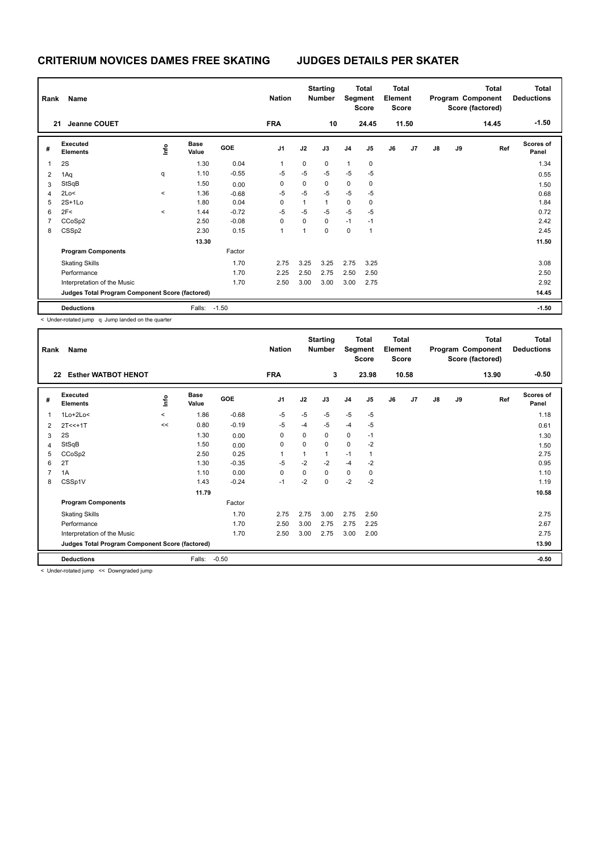| Rank           | Name                                            |                          |                      |         | <b>Nation</b>  |             | <b>Starting</b><br><b>Number</b> | Segment        | <b>Total</b><br><b>Score</b> | <b>Total</b><br>Element<br><b>Score</b> |       |    |    | <b>Total</b><br>Program Component<br>Score (factored) | Total<br><b>Deductions</b> |
|----------------|-------------------------------------------------|--------------------------|----------------------|---------|----------------|-------------|----------------------------------|----------------|------------------------------|-----------------------------------------|-------|----|----|-------------------------------------------------------|----------------------------|
| 21             | <b>Jeanne COUET</b>                             |                          |                      |         | <b>FRA</b>     |             | 10                               |                | 24.45                        |                                         | 11.50 |    |    | 14.45                                                 | $-1.50$                    |
| #              | Executed<br><b>Elements</b>                     | ١nf٥                     | <b>Base</b><br>Value | GOE     | J <sub>1</sub> | J2          | J3                               | J <sub>4</sub> | J <sub>5</sub>               | J6                                      | J7    | J8 | J9 | Ref                                                   | <b>Scores of</b><br>Panel  |
| 1              | 2S                                              |                          | 1.30                 | 0.04    | 1              | 0           | 0                                | $\mathbf{1}$   | 0                            |                                         |       |    |    |                                                       | 1.34                       |
| $\overline{2}$ | 1Aq                                             | q                        | 1.10                 | $-0.55$ | $-5$           | $-5$        | $-5$                             | $-5$           | -5                           |                                         |       |    |    |                                                       | 0.55                       |
| 3              | StSqB                                           |                          | 1.50                 | 0.00    | 0              | $\mathbf 0$ | $\mathbf 0$                      | $\mathbf 0$    | $\mathbf 0$                  |                                         |       |    |    |                                                       | 1.50                       |
| 4              | 2Lo<                                            | $\hat{~}$                | 1.36                 | $-0.68$ | $-5$           | $-5$        | $-5$                             | $-5$           | $-5$                         |                                         |       |    |    |                                                       | 0.68                       |
| 5              | $2S+1Lo$                                        |                          | 1.80                 | 0.04    | 0              | 1           | $\overline{1}$                   | $\pmb{0}$      | 0                            |                                         |       |    |    |                                                       | 1.84                       |
| 6              | 2F<                                             | $\overline{\phantom{a}}$ | 1.44                 | $-0.72$ | $-5$           | $-5$        | $-5$                             | $-5$           | $-5$                         |                                         |       |    |    |                                                       | 0.72                       |
| $\overline{7}$ | CCoSp2                                          |                          | 2.50                 | $-0.08$ | 0              | 0           | $\mathbf 0$                      | $-1$           | $-1$                         |                                         |       |    |    |                                                       | 2.42                       |
| 8              | CSS <sub>p2</sub>                               |                          | 2.30                 | 0.15    | 1              | 1           | $\pmb{0}$                        | 0              | 1                            |                                         |       |    |    |                                                       | 2.45                       |
|                |                                                 |                          | 13.30                |         |                |             |                                  |                |                              |                                         |       |    |    |                                                       | 11.50                      |
|                | <b>Program Components</b>                       |                          |                      | Factor  |                |             |                                  |                |                              |                                         |       |    |    |                                                       |                            |
|                | <b>Skating Skills</b>                           |                          |                      | 1.70    | 2.75           | 3.25        | 3.25                             | 2.75           | 3.25                         |                                         |       |    |    |                                                       | 3.08                       |
|                | Performance                                     |                          |                      | 1.70    | 2.25           | 2.50        | 2.75                             | 2.50           | 2.50                         |                                         |       |    |    |                                                       | 2.50                       |
|                | Interpretation of the Music                     |                          |                      | 1.70    | 2.50           | 3.00        | 3.00                             | 3.00           | 2.75                         |                                         |       |    |    |                                                       | 2.92                       |
|                | Judges Total Program Component Score (factored) |                          |                      |         |                |             |                                  |                |                              |                                         |       |    |    |                                                       | 14.45                      |
|                | <b>Deductions</b>                               |                          | Falls:               | $-1.50$ |                |             |                                  |                |                              |                                         |       |    |    |                                                       | $-1.50$                    |

< Under-rotated jump q Jump landed on the quarter

| Rank           | Name                                            |                          |                      |         | <b>Nation</b> |          | <b>Starting</b><br><b>Number</b> | Segment        | <b>Total</b><br>Score | <b>Total</b><br>Element<br>Score |       |    |    | <b>Total</b><br>Program Component<br>Score (factored) | <b>Total</b><br><b>Deductions</b> |
|----------------|-------------------------------------------------|--------------------------|----------------------|---------|---------------|----------|----------------------------------|----------------|-----------------------|----------------------------------|-------|----|----|-------------------------------------------------------|-----------------------------------|
| 22             | <b>Esther WATBOT HENOT</b>                      |                          |                      |         | <b>FRA</b>    |          | 3                                |                | 23.98                 |                                  | 10.58 |    |    | 13.90                                                 | $-0.50$                           |
| #              | <b>Executed</b><br><b>Elements</b>              | lnfo                     | <b>Base</b><br>Value | GOE     | J1            | J2       | J3                               | J <sub>4</sub> | J5                    | J6                               | J7    | J8 | J9 | Ref                                                   | <b>Scores of</b><br>Panel         |
| 1              | 1Lo+2Lo<                                        | $\overline{\phantom{0}}$ | 1.86                 | $-0.68$ | $-5$          | $-5$     | $-5$                             | $-5$           | $-5$                  |                                  |       |    |    |                                                       | 1.18                              |
| $\overline{2}$ | $2T<<+1T$                                       | <<                       | 0.80                 | $-0.19$ | $-5$          | $-4$     | $-5$                             | $-4$           | $-5$                  |                                  |       |    |    |                                                       | 0.61                              |
| 3              | 2S                                              |                          | 1.30                 | 0.00    | 0             | $\Omega$ | 0                                | 0              | $-1$                  |                                  |       |    |    |                                                       | 1.30                              |
| 4              | StSqB                                           |                          | 1.50                 | 0.00    | 0             | 0        | 0                                | $\mathbf 0$    | $-2$                  |                                  |       |    |    |                                                       | 1.50                              |
| 5              | CCoSp2                                          |                          | 2.50                 | 0.25    | 1             |          | 1                                | $-1$           | 1                     |                                  |       |    |    |                                                       | 2.75                              |
| 6              | 2T                                              |                          | 1.30                 | $-0.35$ | -5            | $-2$     | $-2$                             | $-4$           | $-2$                  |                                  |       |    |    |                                                       | 0.95                              |
| 7              | 1A                                              |                          | 1.10                 | 0.00    | $\mathbf 0$   | $\Omega$ | 0                                | $\mathbf 0$    | 0                     |                                  |       |    |    |                                                       | 1.10                              |
| 8              | CSSp1V                                          |                          | 1.43                 | $-0.24$ | $-1$          | $-2$     | 0                                | $-2$           | $-2$                  |                                  |       |    |    |                                                       | 1.19                              |
|                |                                                 |                          | 11.79                |         |               |          |                                  |                |                       |                                  |       |    |    |                                                       | 10.58                             |
|                | <b>Program Components</b>                       |                          |                      | Factor  |               |          |                                  |                |                       |                                  |       |    |    |                                                       |                                   |
|                | <b>Skating Skills</b>                           |                          |                      | 1.70    | 2.75          | 2.75     | 3.00                             | 2.75           | 2.50                  |                                  |       |    |    |                                                       | 2.75                              |
|                | Performance                                     |                          |                      | 1.70    | 2.50          | 3.00     | 2.75                             | 2.75           | 2.25                  |                                  |       |    |    |                                                       | 2.67                              |
|                | Interpretation of the Music                     |                          |                      | 1.70    | 2.50          | 3.00     | 2.75                             | 3.00           | 2.00                  |                                  |       |    |    |                                                       | 2.75                              |
|                | Judges Total Program Component Score (factored) |                          |                      |         |               |          |                                  |                |                       |                                  |       |    |    |                                                       | 13.90                             |
|                | <b>Deductions</b>                               |                          | Falls:               | $-0.50$ |               |          |                                  |                |                       |                                  |       |    |    |                                                       | $-0.50$                           |

< Under-rotated jump << Downgraded jump